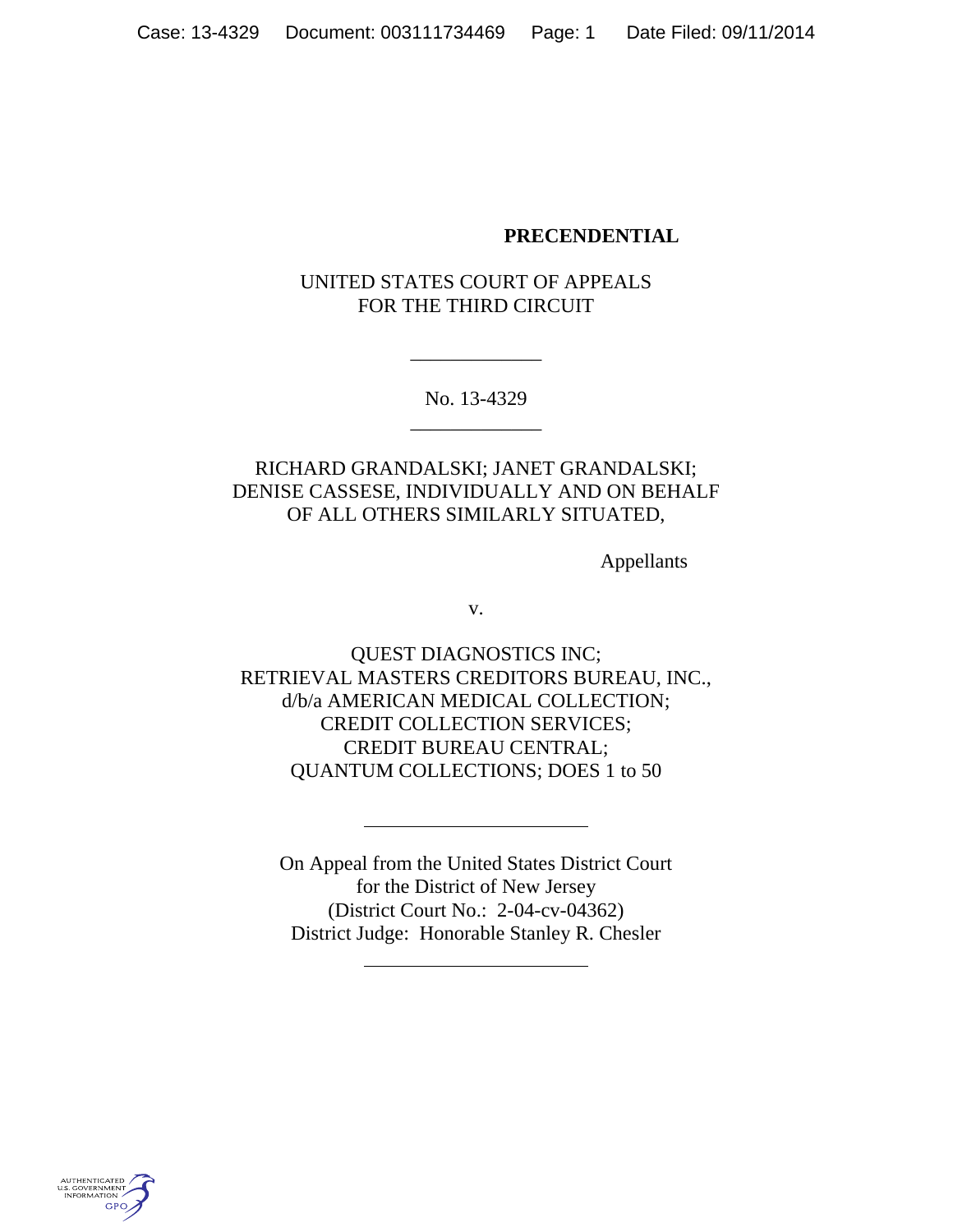### **PRECENDENTIAL**

## UNITED STATES COURT OF APPEALS FOR THE THIRD CIRCUIT

No. 13-4329 \_\_\_\_\_\_\_\_\_\_\_\_\_

\_\_\_\_\_\_\_\_\_\_\_\_\_

# RICHARD GRANDALSKI; JANET GRANDALSKI; DENISE CASSESE, INDIVIDUALLY AND ON BEHALF OF ALL OTHERS SIMILARLY SITUATED,

Appellants

v.

QUEST DIAGNOSTICS INC; RETRIEVAL MASTERS CREDITORS BUREAU, INC., d/b/a AMERICAN MEDICAL COLLECTION; CREDIT COLLECTION SERVICES; CREDIT BUREAU CENTRAL; QUANTUM COLLECTIONS; DOES 1 to 50

On Appeal from the United States District Court for the District of New Jersey (District Court No.: 2-04-cv-04362) District Judge: Honorable Stanley R. Chesler

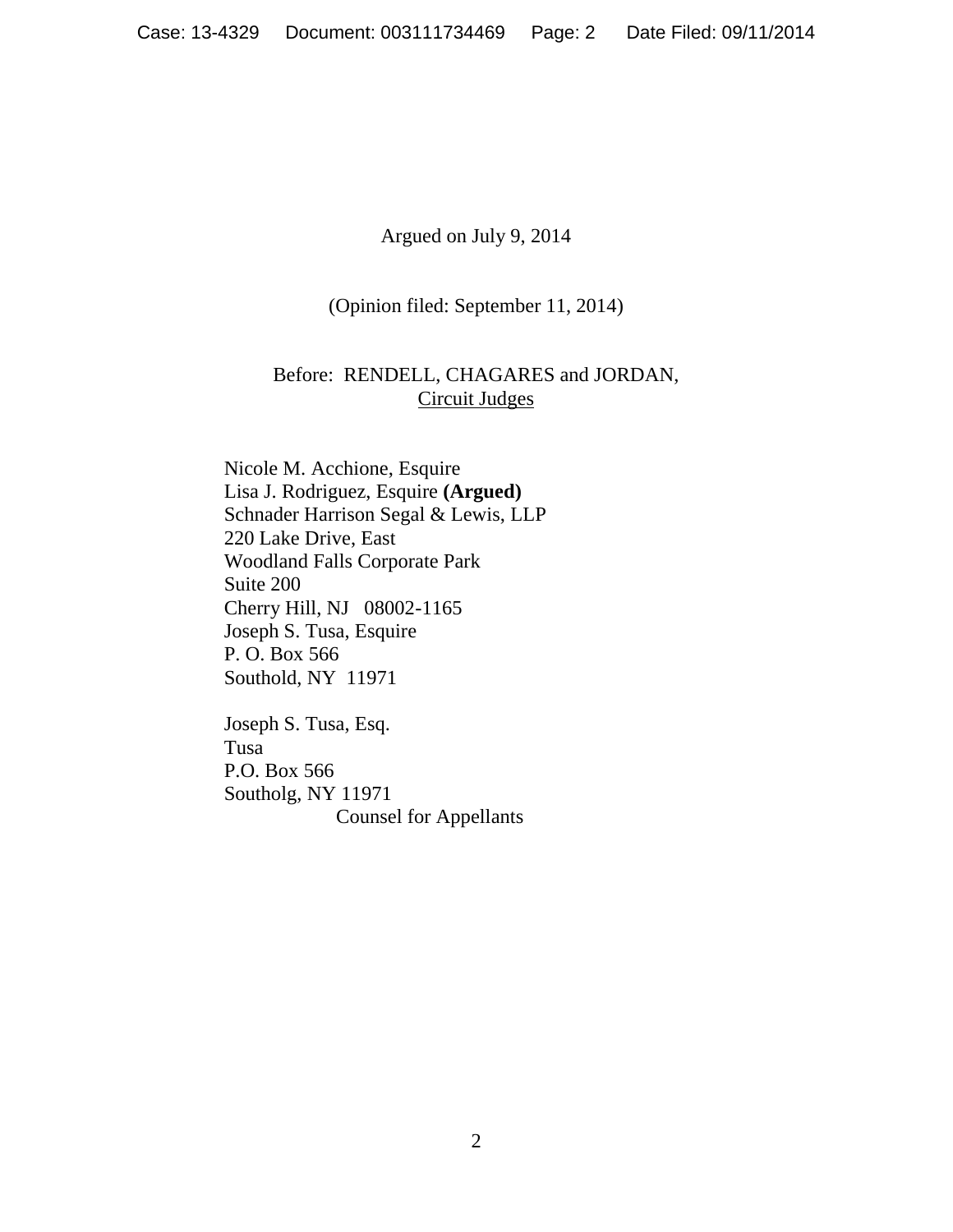Argued on July 9, 2014

(Opinion filed: September 11, 2014)

## Before: RENDELL, CHAGARES and JORDAN, Circuit Judges

Nicole M. Acchione, Esquire Lisa J. Rodriguez, Esquire **(Argued)** Schnader Harrison Segal & Lewis, LLP 220 Lake Drive, East Woodland Falls Corporate Park Suite 200 Cherry Hill, NJ 08002-1165 Joseph S. Tusa, Esquire P. O. Box 566 Southold, NY 11971

Joseph S. Tusa, Esq. Tusa P.O. Box 566 Southolg, NY 11971 Counsel for Appellants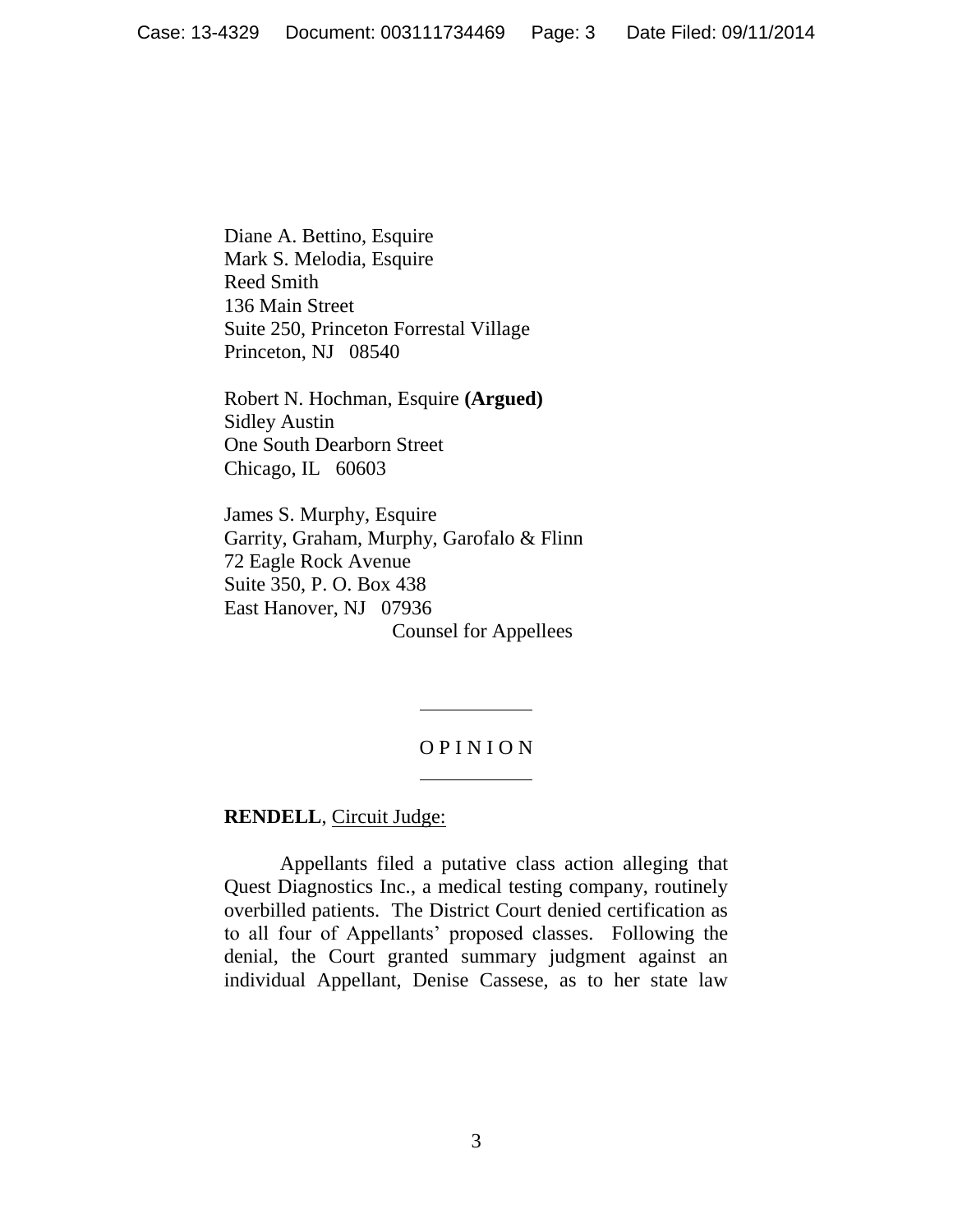Diane A. Bettino, Esquire Mark S. Melodia, Esquire Reed Smith 136 Main Street Suite 250, Princeton Forrestal Village Princeton, NJ 08540

Robert N. Hochman, Esquire **(Argued)** Sidley Austin One South Dearborn Street Chicago, IL 60603

James S. Murphy, Esquire Garrity, Graham, Murphy, Garofalo & Flinn 72 Eagle Rock Avenue Suite 350, P. O. Box 438 East Hanover, NJ 07936 Counsel for Appellees

## O P I N I O N

### **RENDELL**, Circuit Judge:

Appellants filed a putative class action alleging that Quest Diagnostics Inc., a medical testing company, routinely overbilled patients. The District Court denied certification as to all four of Appellants' proposed classes. Following the denial, the Court granted summary judgment against an individual Appellant, Denise Cassese, as to her state law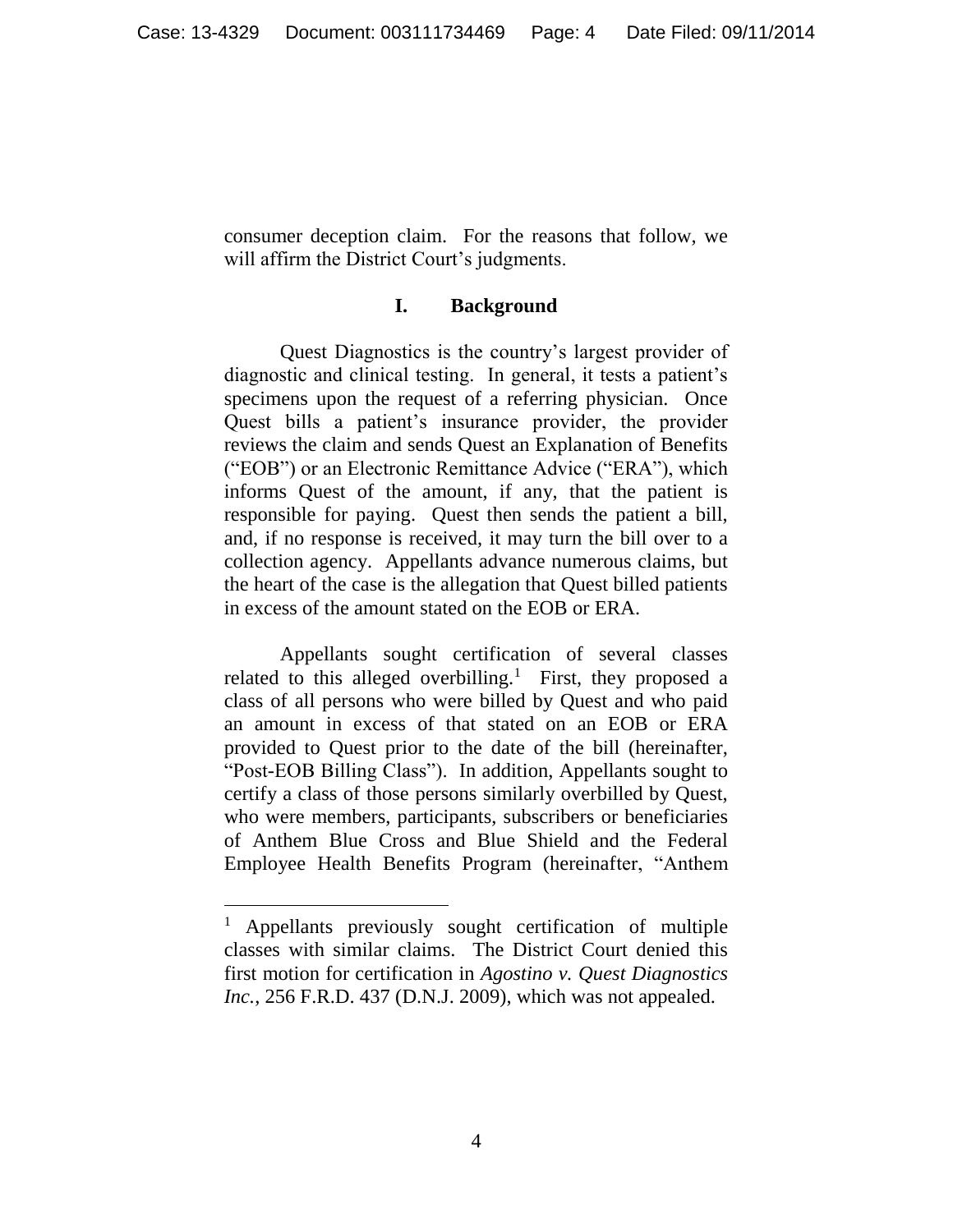consumer deception claim. For the reasons that follow, we will affirm the District Court's judgments.

#### **I. Background**

Quest Diagnostics is the country's largest provider of diagnostic and clinical testing. In general, it tests a patient's specimens upon the request of a referring physician. Once Quest bills a patient's insurance provider, the provider reviews the claim and sends Quest an Explanation of Benefits ("EOB") or an Electronic Remittance Advice ("ERA"), which informs Quest of the amount, if any, that the patient is responsible for paying. Quest then sends the patient a bill, and, if no response is received, it may turn the bill over to a collection agency. Appellants advance numerous claims, but the heart of the case is the allegation that Quest billed patients in excess of the amount stated on the EOB or ERA.

Appellants sought certification of several classes related to this alleged overbilling.<sup>1</sup> First, they proposed a class of all persons who were billed by Quest and who paid an amount in excess of that stated on an EOB or ERA provided to Quest prior to the date of the bill (hereinafter, "Post-EOB Billing Class"). In addition, Appellants sought to certify a class of those persons similarly overbilled by Quest, who were members, participants, subscribers or beneficiaries of Anthem Blue Cross and Blue Shield and the Federal Employee Health Benefits Program (hereinafter, "Anthem

 $\overline{a}$ 

<sup>1</sup> Appellants previously sought certification of multiple classes with similar claims. The District Court denied this first motion for certification in *Agostino v. Quest Diagnostics Inc.*, 256 F.R.D. 437 (D.N.J. 2009), which was not appealed.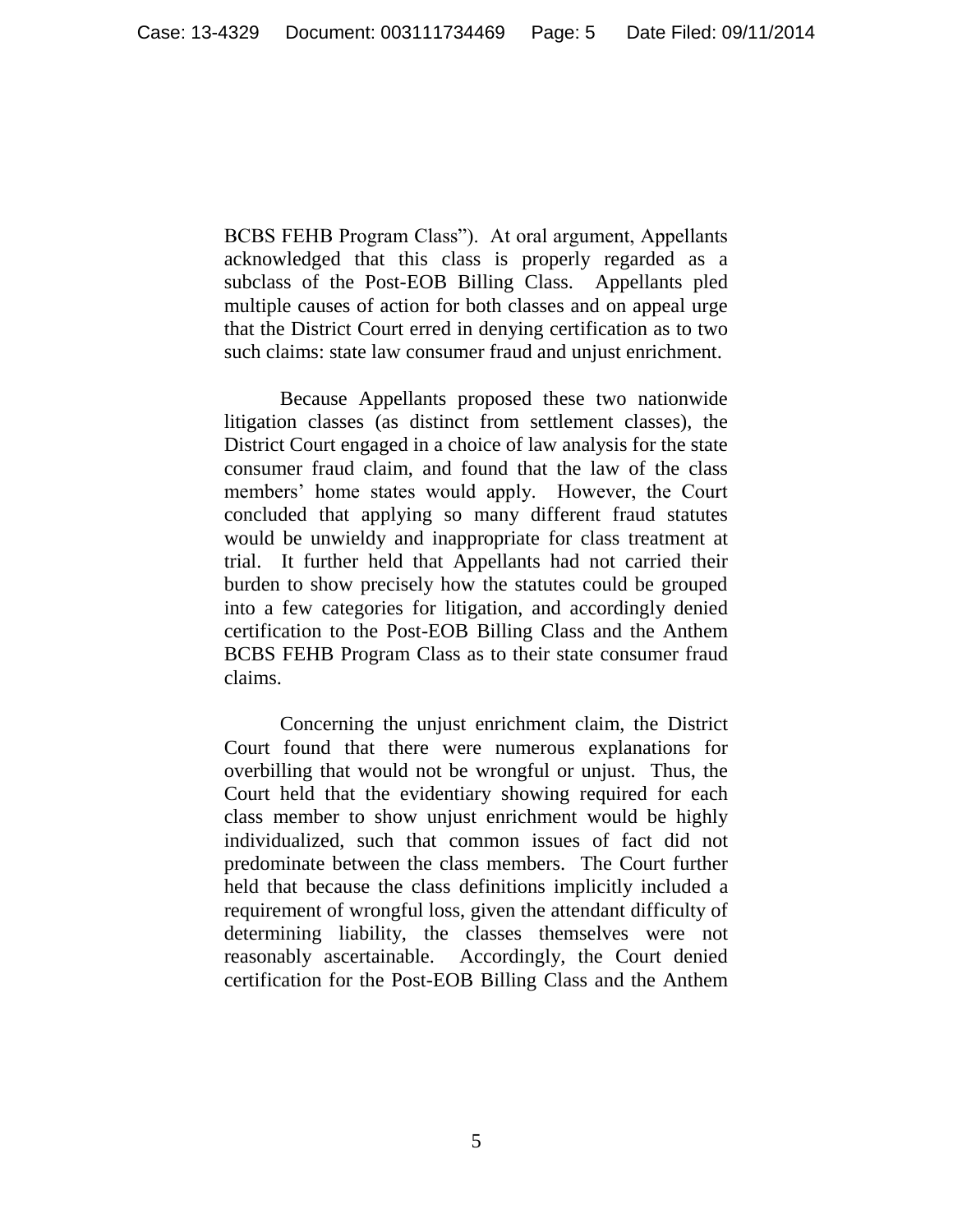BCBS FEHB Program Class"). At oral argument, Appellants acknowledged that this class is properly regarded as a subclass of the Post-EOB Billing Class. Appellants pled multiple causes of action for both classes and on appeal urge that the District Court erred in denying certification as to two such claims: state law consumer fraud and unjust enrichment.

Because Appellants proposed these two nationwide litigation classes (as distinct from settlement classes), the District Court engaged in a choice of law analysis for the state consumer fraud claim, and found that the law of the class members' home states would apply. However, the Court concluded that applying so many different fraud statutes would be unwieldy and inappropriate for class treatment at trial. It further held that Appellants had not carried their burden to show precisely how the statutes could be grouped into a few categories for litigation, and accordingly denied certification to the Post-EOB Billing Class and the Anthem BCBS FEHB Program Class as to their state consumer fraud claims.

Concerning the unjust enrichment claim, the District Court found that there were numerous explanations for overbilling that would not be wrongful or unjust. Thus, the Court held that the evidentiary showing required for each class member to show unjust enrichment would be highly individualized, such that common issues of fact did not predominate between the class members. The Court further held that because the class definitions implicitly included a requirement of wrongful loss, given the attendant difficulty of determining liability, the classes themselves were not reasonably ascertainable. Accordingly, the Court denied certification for the Post-EOB Billing Class and the Anthem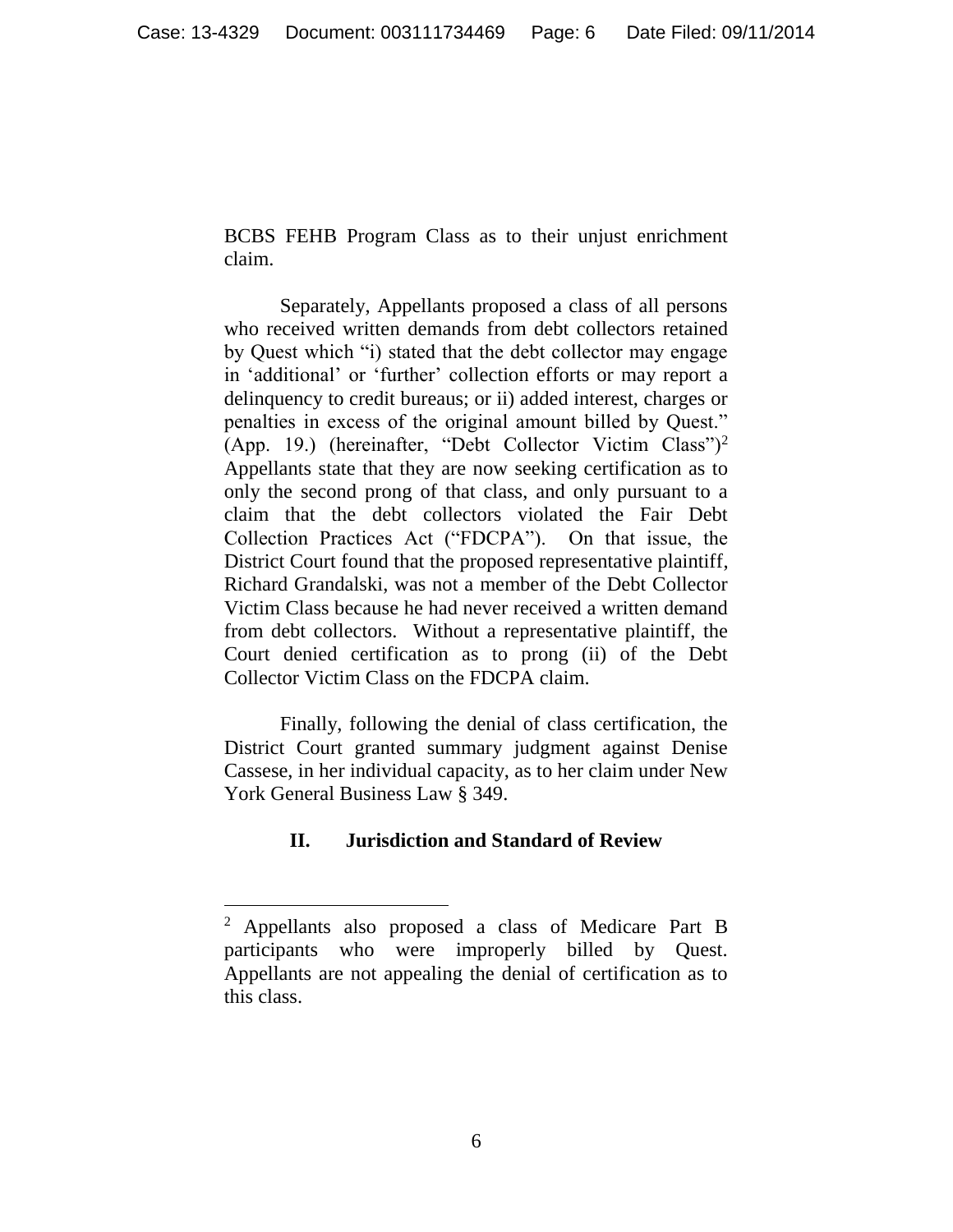BCBS FEHB Program Class as to their unjust enrichment claim.

Separately, Appellants proposed a class of all persons who received written demands from debt collectors retained by Quest which "i) stated that the debt collector may engage in 'additional' or 'further' collection efforts or may report a delinquency to credit bureaus; or ii) added interest, charges or penalties in excess of the original amount billed by Quest." (App. 19.) (hereinafter, "Debt Collector Victim Class")<sup>2</sup> Appellants state that they are now seeking certification as to only the second prong of that class, and only pursuant to a claim that the debt collectors violated the Fair Debt Collection Practices Act ("FDCPA"). On that issue, the District Court found that the proposed representative plaintiff, Richard Grandalski, was not a member of the Debt Collector Victim Class because he had never received a written demand from debt collectors. Without a representative plaintiff, the Court denied certification as to prong (ii) of the Debt Collector Victim Class on the FDCPA claim.

Finally, following the denial of class certification, the District Court granted summary judgment against Denise Cassese, in her individual capacity, as to her claim under New York General Business Law § 349.

## **II. Jurisdiction and Standard of Review**

 $\overline{a}$ 

<sup>2</sup> Appellants also proposed a class of Medicare Part B participants who were improperly billed by Quest. Appellants are not appealing the denial of certification as to this class.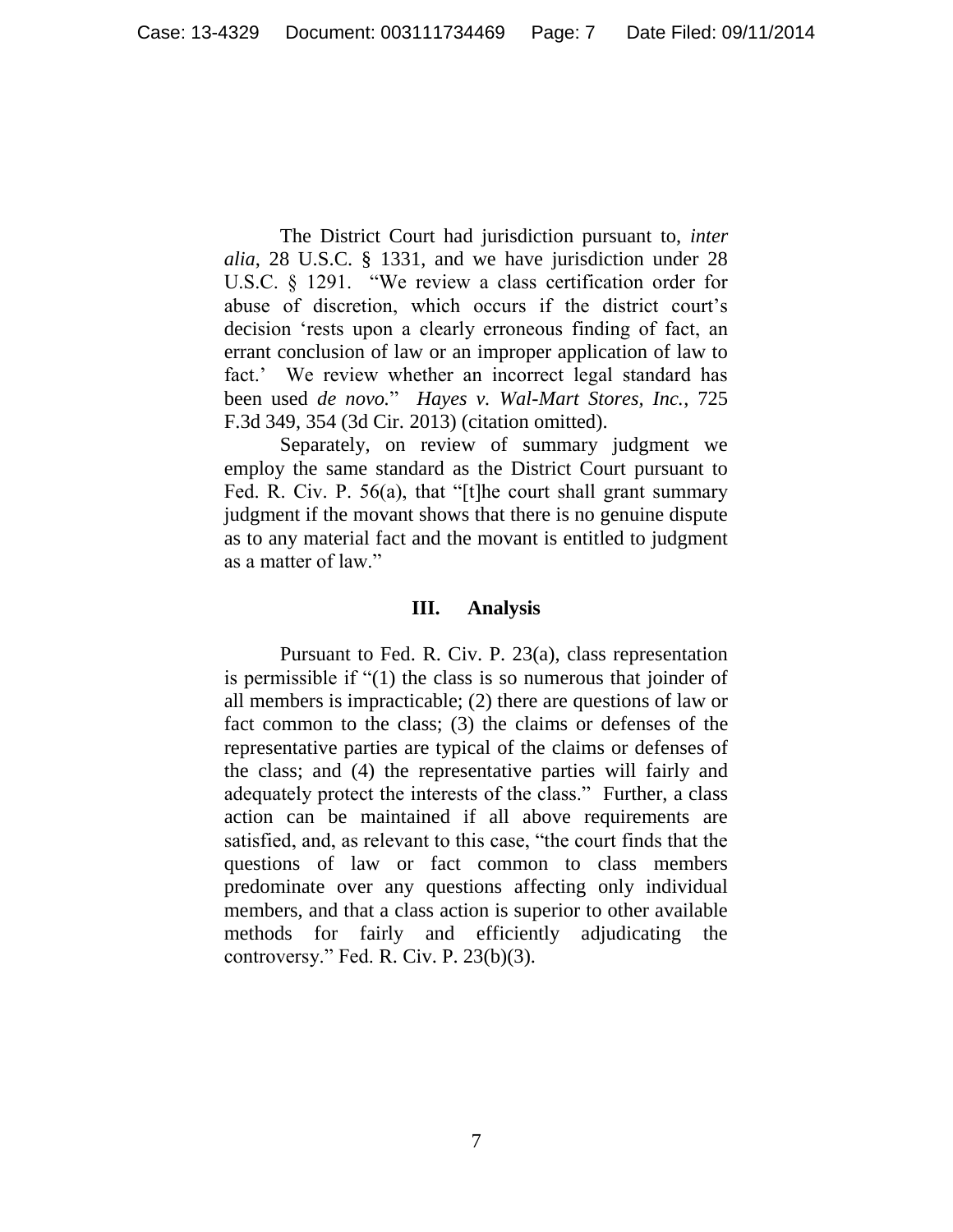The District Court had jurisdiction pursuant to, *inter alia*, 28 U.S.C. § 1331, and we have jurisdiction under 28 U.S.C. § 1291. "We review a class certification order for abuse of discretion, which occurs if the district court's decision 'rests upon a clearly erroneous finding of fact, an errant conclusion of law or an improper application of law to fact.' We review whether an incorrect legal standard has been used *de novo.*" *Hayes v. Wal-Mart Stores, Inc.*, 725 F.3d 349, 354 (3d Cir. 2013) (citation omitted).

Separately, on review of summary judgment we employ the same standard as the District Court pursuant to Fed. R. Civ. P. 56(a), that "[t]he court shall grant summary judgment if the movant shows that there is no genuine dispute as to any material fact and the movant is entitled to judgment as a matter of law."

### **III. Analysis**

Pursuant to Fed. R. Civ. P. 23(a), class representation is permissible if "(1) the class is so numerous that joinder of all members is impracticable; (2) there are questions of law or fact common to the class; (3) the claims or defenses of the representative parties are typical of the claims or defenses of the class; and (4) the representative parties will fairly and adequately protect the interests of the class." Further, a class action can be maintained if all above requirements are satisfied, and, as relevant to this case, "the court finds that the questions of law or fact common to class members predominate over any questions affecting only individual members, and that a class action is superior to other available methods for fairly and efficiently adjudicating the controversy." Fed. R. Civ. P. 23(b)(3).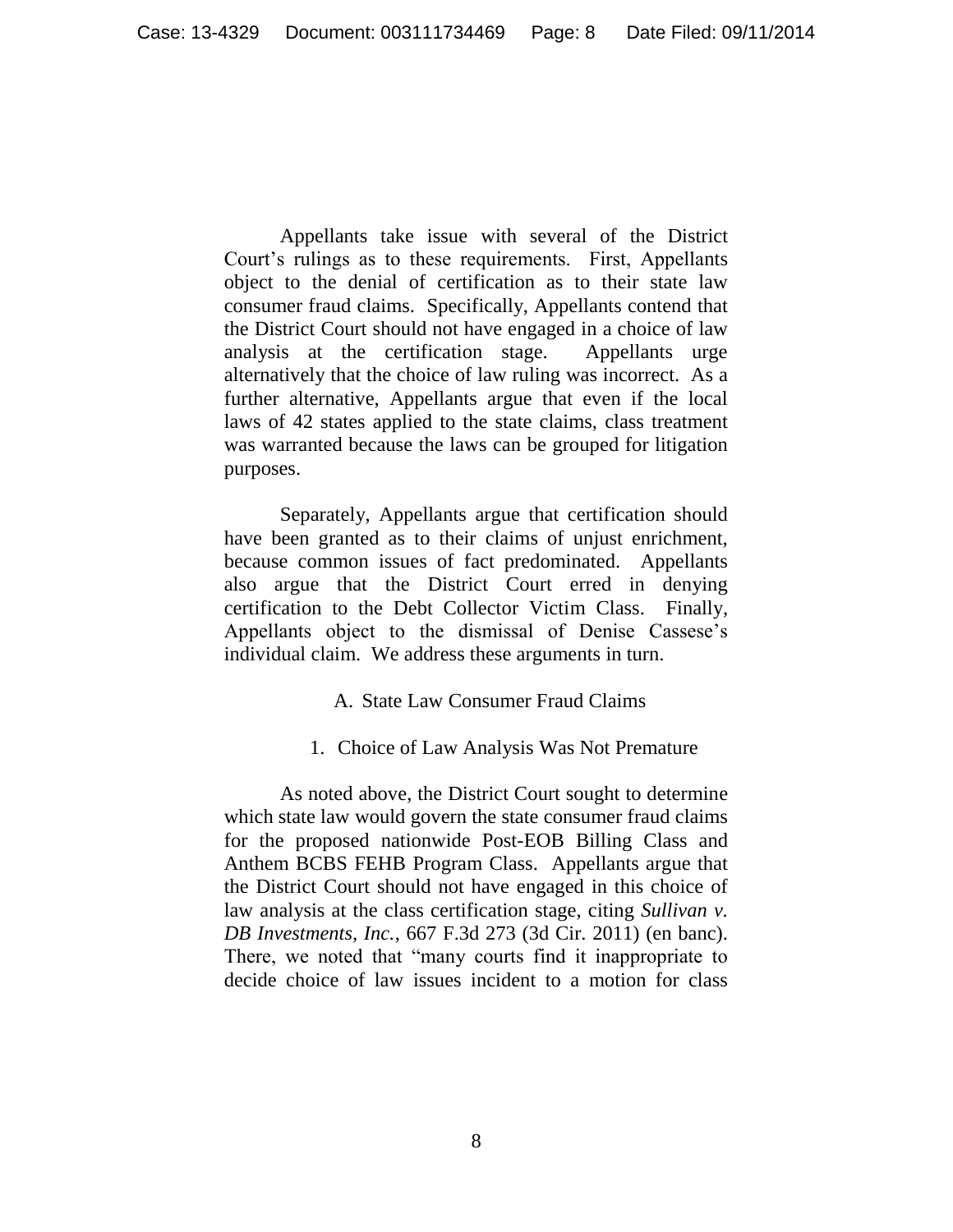Appellants take issue with several of the District Court's rulings as to these requirements. First, Appellants object to the denial of certification as to their state law consumer fraud claims. Specifically, Appellants contend that the District Court should not have engaged in a choice of law analysis at the certification stage. Appellants urge alternatively that the choice of law ruling was incorrect. As a further alternative, Appellants argue that even if the local laws of 42 states applied to the state claims, class treatment was warranted because the laws can be grouped for litigation purposes.

Separately, Appellants argue that certification should have been granted as to their claims of unjust enrichment, because common issues of fact predominated. Appellants also argue that the District Court erred in denying certification to the Debt Collector Victim Class. Finally, Appellants object to the dismissal of Denise Cassese's individual claim. We address these arguments in turn.

### A. State Law Consumer Fraud Claims

### 1. Choice of Law Analysis Was Not Premature

As noted above, the District Court sought to determine which state law would govern the state consumer fraud claims for the proposed nationwide Post-EOB Billing Class and Anthem BCBS FEHB Program Class. Appellants argue that the District Court should not have engaged in this choice of law analysis at the class certification stage, citing *Sullivan v. DB Investments, Inc.*, 667 F.3d 273 (3d Cir. 2011) (en banc). There, we noted that "many courts find it inappropriate to decide choice of law issues incident to a motion for class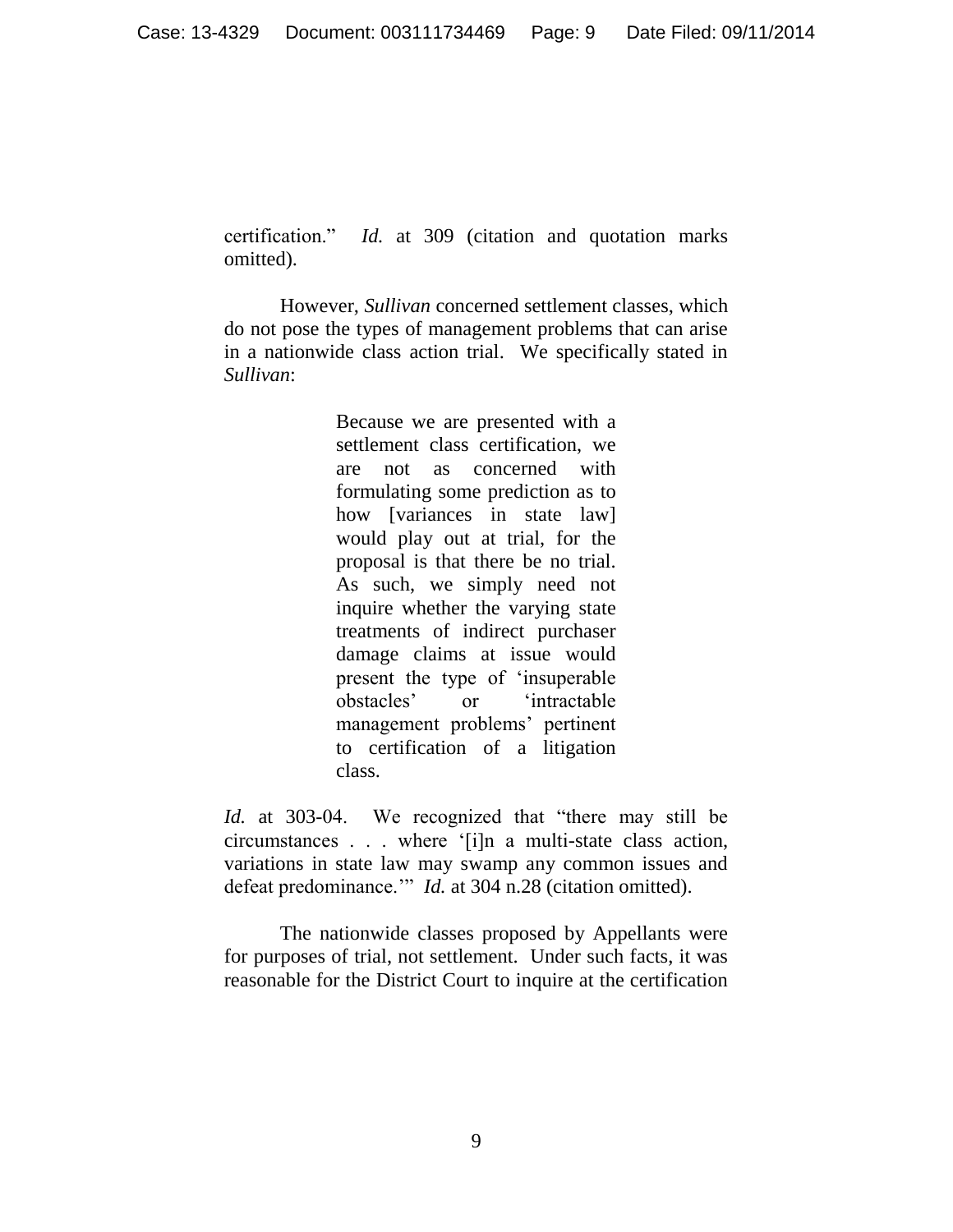certification." *Id.* at 309 (citation and quotation marks omitted).

However, *Sullivan* concerned settlement classes, which do not pose the types of management problems that can arise in a nationwide class action trial. We specifically stated in *Sullivan*:

> Because we are presented with a settlement class certification, we are not as concerned with formulating some prediction as to how [variances in state law] would play out at trial, for the proposal is that there be no trial. As such, we simply need not inquire whether the varying state treatments of indirect purchaser damage claims at issue would present the type of 'insuperable obstacles' or 'intractable management problems' pertinent to certification of a litigation class.

*Id.* at 303-04. We recognized that "there may still be circumstances . . . where '[i]n a multi-state class action, variations in state law may swamp any common issues and defeat predominance.'" *Id.* at 304 n.28 (citation omitted).

The nationwide classes proposed by Appellants were for purposes of trial, not settlement. Under such facts, it was reasonable for the District Court to inquire at the certification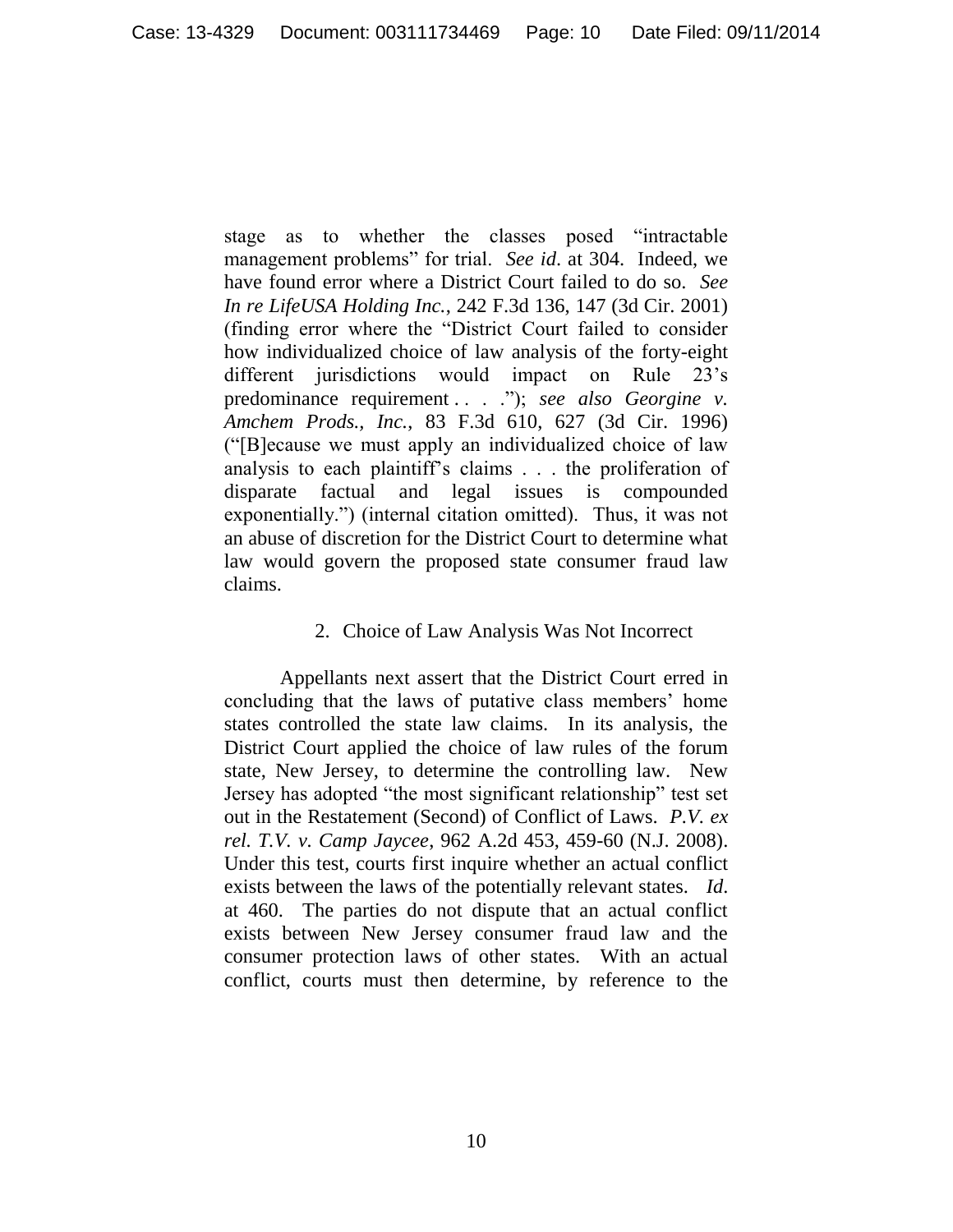stage as to whether the classes posed "intractable management problems" for trial. *See id*. at 304. Indeed, we have found error where a District Court failed to do so. *See In re LifeUSA Holding Inc.*, 242 F.3d 136, 147 (3d Cir. 2001) (finding error where the "District Court failed to consider how individualized choice of law analysis of the forty-eight different jurisdictions would impact on Rule 23's predominance requirement . . . ."); *see also Georgine v. Amchem Prods., Inc.*, 83 F.3d 610, 627 (3d Cir. 1996) ("[B]ecause we must apply an individualized choice of law analysis to each plaintiff's claims . . . the proliferation of disparate factual and legal issues is compounded exponentially.") (internal citation omitted). Thus, it was not an abuse of discretion for the District Court to determine what law would govern the proposed state consumer fraud law claims.

### 2. Choice of Law Analysis Was Not Incorrect

Appellants next assert that the District Court erred in concluding that the laws of putative class members' home states controlled the state law claims. In its analysis, the District Court applied the choice of law rules of the forum state, New Jersey, to determine the controlling law. New Jersey has adopted "the most significant relationship" test set out in the Restatement (Second) of Conflict of Laws. *P.V. ex rel. T.V. v. Camp Jaycee*, 962 A.2d 453, 459-60 (N.J. 2008). Under this test, courts first inquire whether an actual conflict exists between the laws of the potentially relevant states. *Id*. at 460. The parties do not dispute that an actual conflict exists between New Jersey consumer fraud law and the consumer protection laws of other states. With an actual conflict, courts must then determine, by reference to the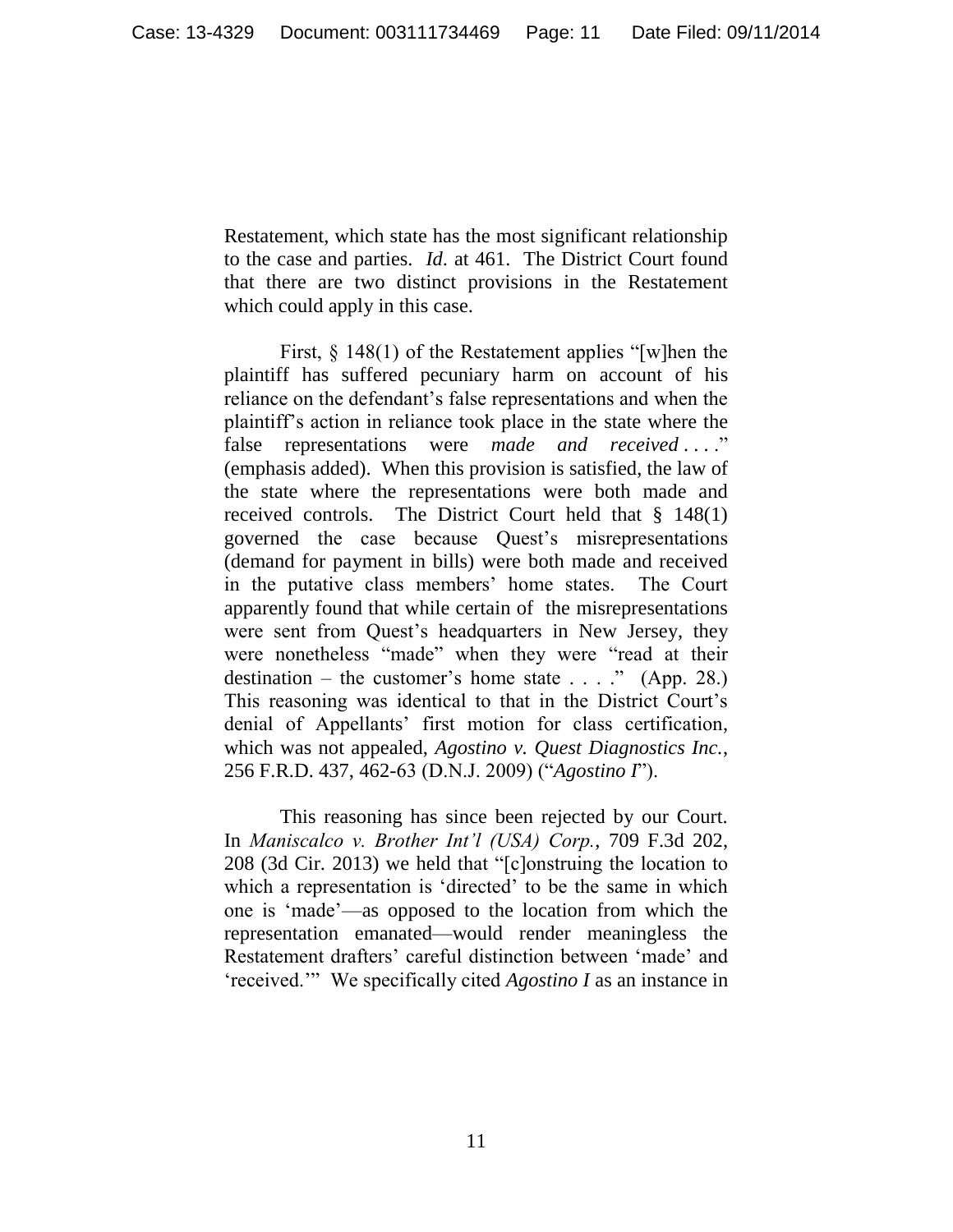Restatement, which state has the most significant relationship to the case and parties. *Id*. at 461. The District Court found that there are two distinct provisions in the Restatement which could apply in this case.

First, § 148(1) of the Restatement applies "[w]hen the plaintiff has suffered pecuniary harm on account of his reliance on the defendant's false representations and when the plaintiff's action in reliance took place in the state where the false representations were *made and received* ...." (emphasis added). When this provision is satisfied, the law of the state where the representations were both made and received controls. The District Court held that § 148(1) governed the case because Quest's misrepresentations (demand for payment in bills) were both made and received in the putative class members' home states. The Court apparently found that while certain of the misrepresentations were sent from Quest's headquarters in New Jersey, they were nonetheless "made" when they were "read at their destination – the customer's home state  $\dots$  ." (App. 28.) This reasoning was identical to that in the District Court's denial of Appellants' first motion for class certification, which was not appealed, *Agostino v. Quest Diagnostics Inc.*, 256 F.R.D. 437, 462-63 (D.N.J. 2009) ("*Agostino I*").

This reasoning has since been rejected by our Court. In *Maniscalco v. Brother Int'l (USA) Corp.*, 709 F.3d 202, 208 (3d Cir. 2013) we held that "[c]onstruing the location to which a representation is 'directed' to be the same in which one is 'made'—as opposed to the location from which the representation emanated—would render meaningless the Restatement drafters' careful distinction between 'made' and 'received.'" We specifically cited *Agostino I* as an instance in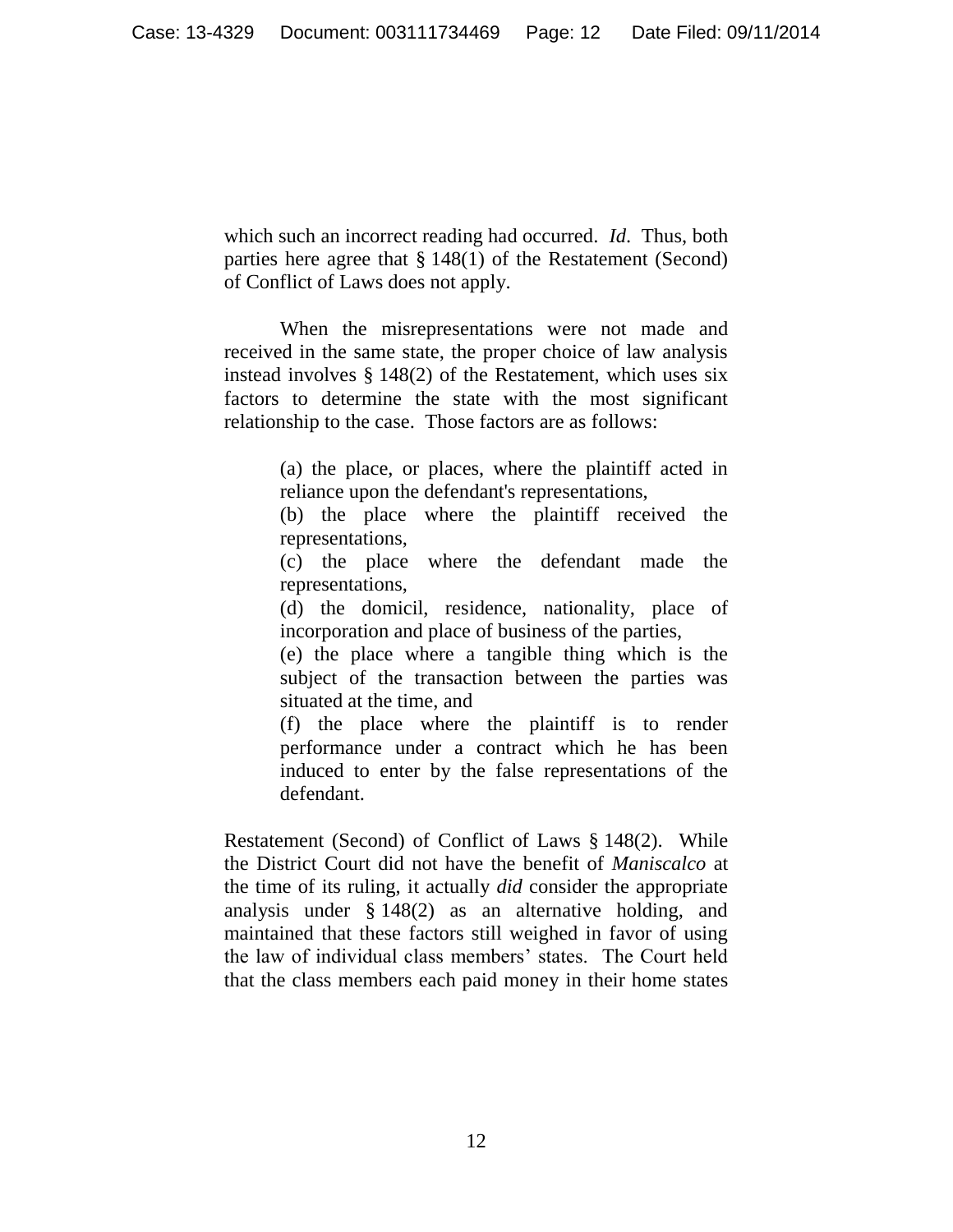which such an incorrect reading had occurred. *Id*. Thus, both parties here agree that § 148(1) of the Restatement (Second) of Conflict of Laws does not apply.

When the misrepresentations were not made and received in the same state, the proper choice of law analysis instead involves § 148(2) of the Restatement, which uses six factors to determine the state with the most significant relationship to the case. Those factors are as follows:

> (a) the place, or places, where the plaintiff acted in reliance upon the defendant's representations,

> (b) the place where the plaintiff received the representations,

> (c) the place where the defendant made the representations,

> (d) the domicil, residence, nationality, place of incorporation and place of business of the parties,

> (e) the place where a tangible thing which is the subject of the transaction between the parties was situated at the time, and

> (f) the place where the plaintiff is to render performance under a contract which he has been induced to enter by the false representations of the defendant.

Restatement (Second) of Conflict of Laws § 148(2). While the District Court did not have the benefit of *Maniscalco* at the time of its ruling, it actually *did* consider the appropriate analysis under § 148(2) as an alternative holding, and maintained that these factors still weighed in favor of using the law of individual class members' states. The Court held that the class members each paid money in their home states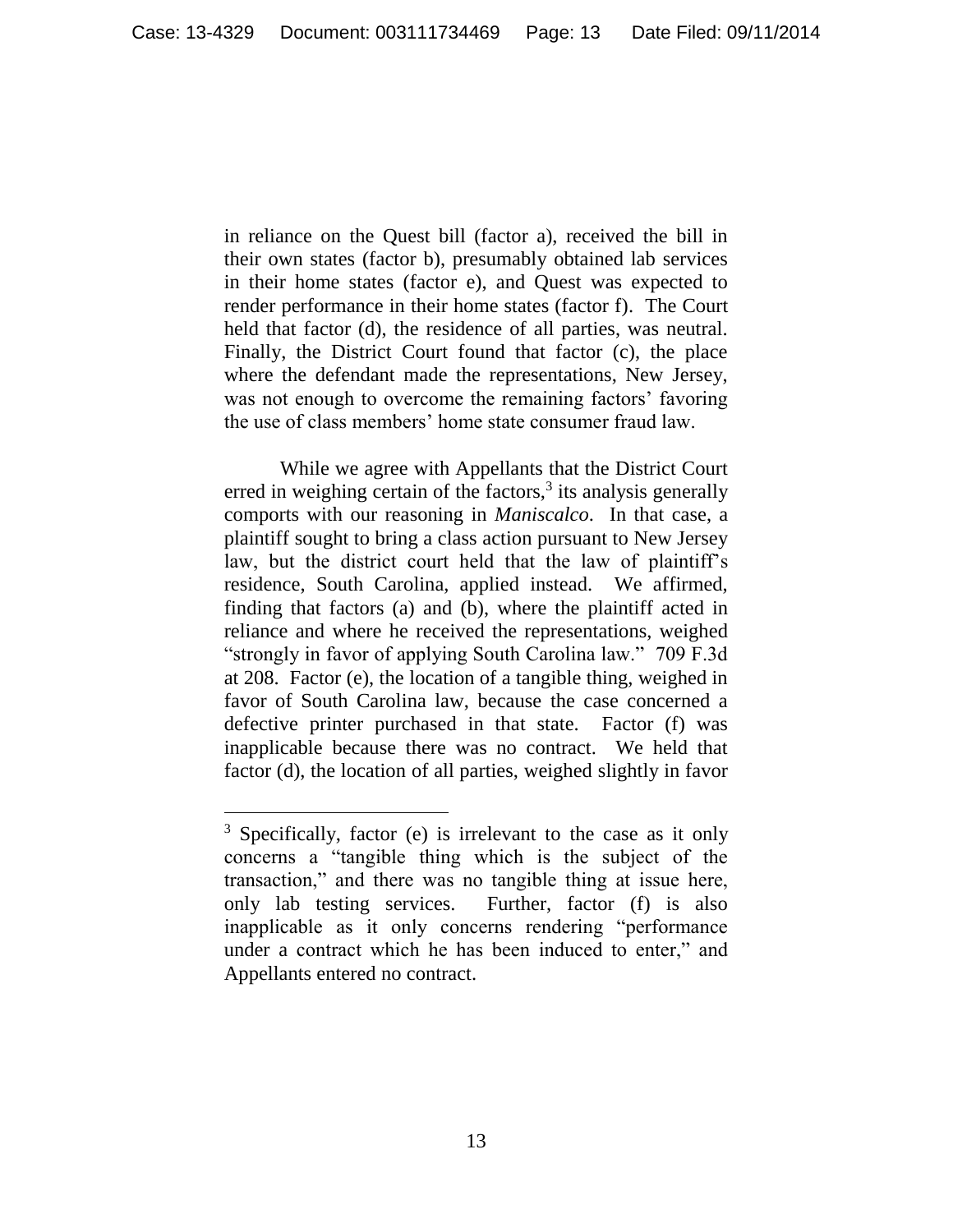in reliance on the Quest bill (factor a), received the bill in their own states (factor b), presumably obtained lab services in their home states (factor e), and Quest was expected to render performance in their home states (factor f). The Court held that factor (d), the residence of all parties, was neutral. Finally, the District Court found that factor (c), the place where the defendant made the representations, New Jersey, was not enough to overcome the remaining factors' favoring the use of class members' home state consumer fraud law.

While we agree with Appellants that the District Court erred in weighing certain of the factors, $3$  its analysis generally comports with our reasoning in *Maniscalco*. In that case, a plaintiff sought to bring a class action pursuant to New Jersey law, but the district court held that the law of plaintiff's residence, South Carolina, applied instead. We affirmed, finding that factors (a) and (b), where the plaintiff acted in reliance and where he received the representations, weighed "strongly in favor of applying South Carolina law." 709 F.3d at 208. Factor (e), the location of a tangible thing, weighed in favor of South Carolina law, because the case concerned a defective printer purchased in that state. Factor (f) was inapplicable because there was no contract. We held that factor (d), the location of all parties, weighed slightly in favor

 $\overline{a}$ 

 $3$  Specifically, factor (e) is irrelevant to the case as it only concerns a "tangible thing which is the subject of the transaction," and there was no tangible thing at issue here, only lab testing services. Further, factor (f) is also inapplicable as it only concerns rendering "performance under a contract which he has been induced to enter," and Appellants entered no contract.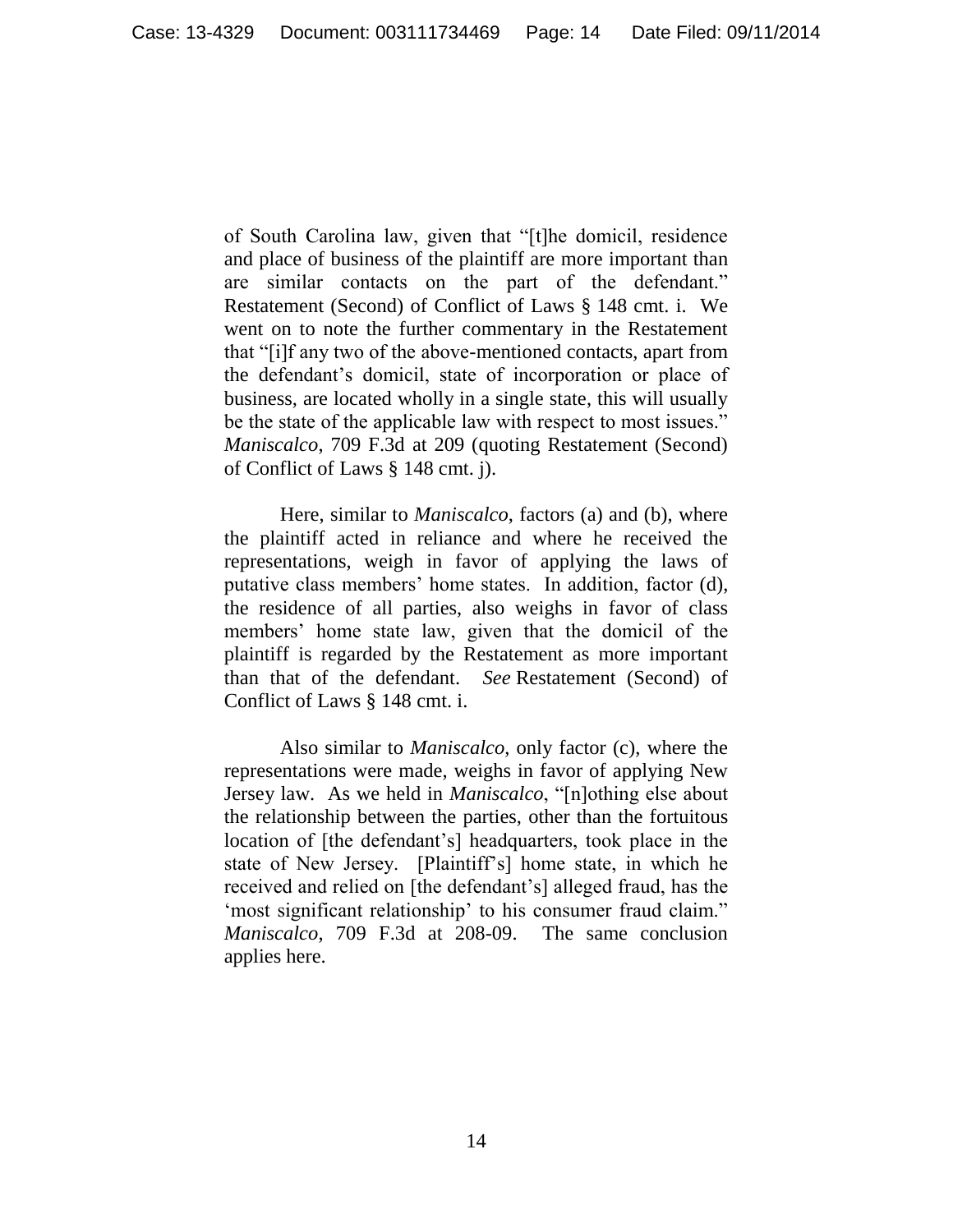of South Carolina law, given that "[t]he domicil, residence and place of business of the plaintiff are more important than are similar contacts on the part of the defendant." Restatement (Second) of Conflict of Laws § 148 cmt. i. We went on to note the further commentary in the Restatement that "[i]f any two of the above-mentioned contacts, apart from the defendant's domicil, state of incorporation or place of business, are located wholly in a single state, this will usually be the state of the applicable law with respect to most issues." *Maniscalco*, 709 F.3d at 209 (quoting Restatement (Second) of Conflict of Laws § 148 cmt. j).

Here, similar to *Maniscalco*, factors (a) and (b), where the plaintiff acted in reliance and where he received the representations, weigh in favor of applying the laws of putative class members' home states. In addition, factor (d), the residence of all parties, also weighs in favor of class members' home state law, given that the domicil of the plaintiff is regarded by the Restatement as more important than that of the defendant. *See* Restatement (Second) of Conflict of Laws § 148 cmt. i.

Also similar to *Maniscalco*, only factor (c), where the representations were made, weighs in favor of applying New Jersey law. As we held in *Maniscalco*, "[n]othing else about the relationship between the parties, other than the fortuitous location of [the defendant's] headquarters, took place in the state of New Jersey. [Plaintiff's] home state, in which he received and relied on [the defendant's] alleged fraud, has the 'most significant relationship' to his consumer fraud claim." *Maniscalco*, 709 F.3d at 208-09. The same conclusion applies here.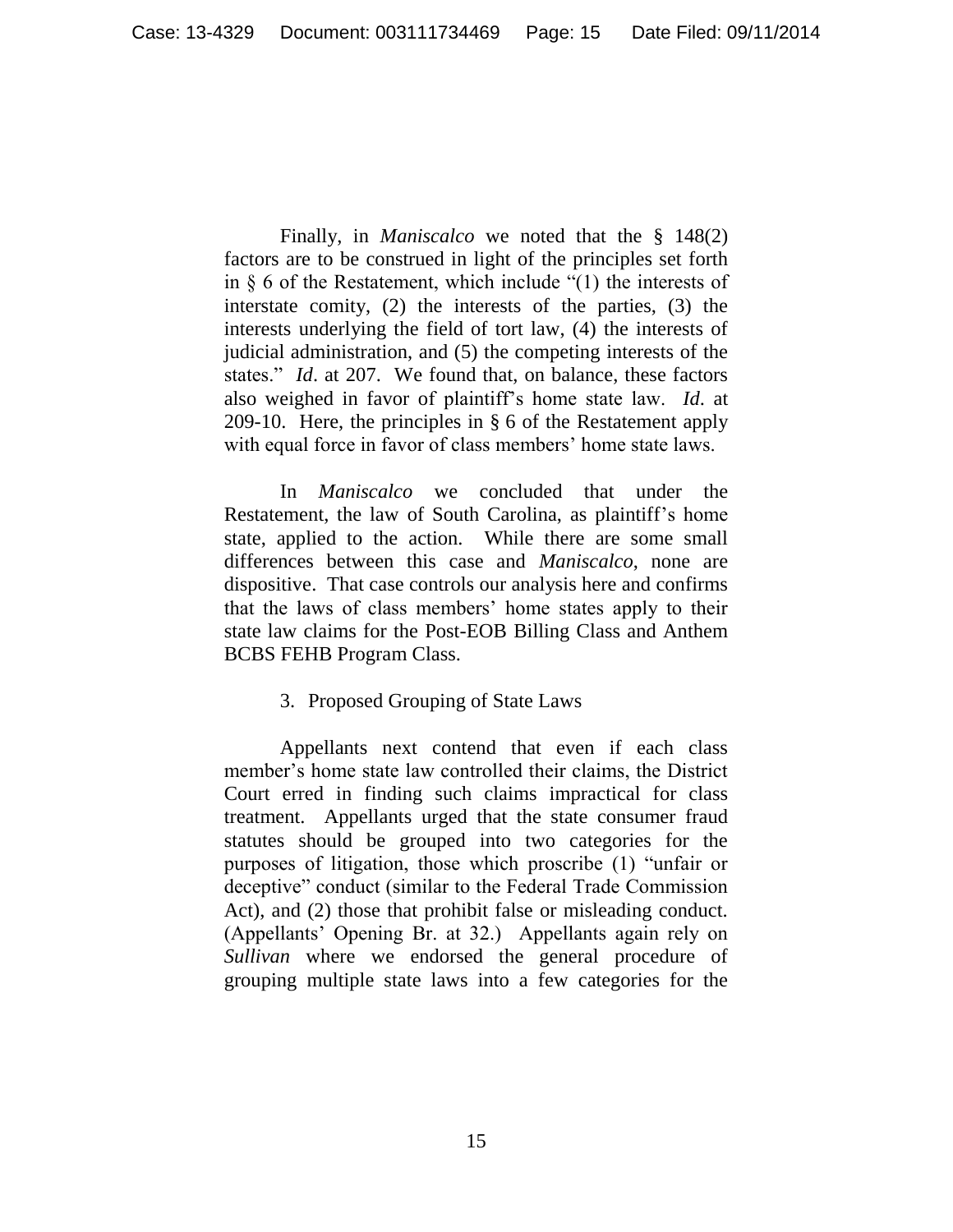Finally, in *Maniscalco* we noted that the § 148(2) factors are to be construed in light of the principles set forth in § 6 of the Restatement, which include "(1) the interests of interstate comity, (2) the interests of the parties, (3) the interests underlying the field of tort law, (4) the interests of judicial administration, and (5) the competing interests of the states." *Id*. at 207. We found that, on balance, these factors also weighed in favor of plaintiff's home state law. *Id*. at 209-10. Here, the principles in § 6 of the Restatement apply with equal force in favor of class members' home state laws.

In *Maniscalco* we concluded that under the Restatement, the law of South Carolina, as plaintiff's home state, applied to the action. While there are some small differences between this case and *Maniscalco*, none are dispositive. That case controls our analysis here and confirms that the laws of class members' home states apply to their state law claims for the Post-EOB Billing Class and Anthem BCBS FEHB Program Class.

### 3. Proposed Grouping of State Laws

Appellants next contend that even if each class member's home state law controlled their claims, the District Court erred in finding such claims impractical for class treatment. Appellants urged that the state consumer fraud statutes should be grouped into two categories for the purposes of litigation, those which proscribe (1) "unfair or deceptive" conduct (similar to the Federal Trade Commission Act), and (2) those that prohibit false or misleading conduct. (Appellants' Opening Br. at 32.) Appellants again rely on *Sullivan* where we endorsed the general procedure of grouping multiple state laws into a few categories for the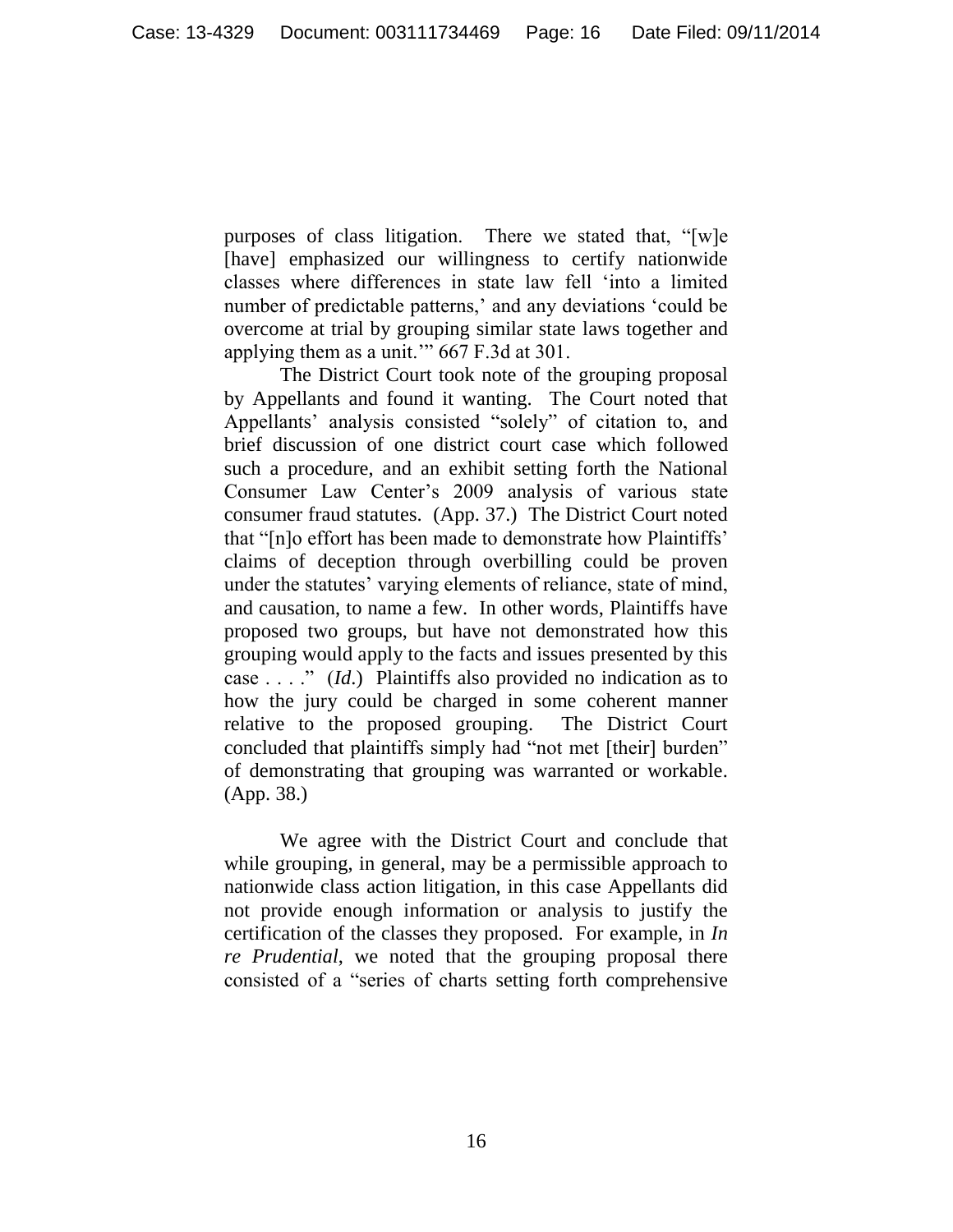purposes of class litigation. There we stated that, "[w]e [have] emphasized our willingness to certify nationwide classes where differences in state law fell 'into a limited number of predictable patterns,' and any deviations 'could be overcome at trial by grouping similar state laws together and applying them as a unit.'" 667 F.3d at 301.

The District Court took note of the grouping proposal by Appellants and found it wanting. The Court noted that Appellants' analysis consisted "solely" of citation to, and brief discussion of one district court case which followed such a procedure, and an exhibit setting forth the National Consumer Law Center's 2009 analysis of various state consumer fraud statutes. (App. 37.) The District Court noted that "[n]o effort has been made to demonstrate how Plaintiffs' claims of deception through overbilling could be proven under the statutes' varying elements of reliance, state of mind, and causation, to name a few. In other words, Plaintiffs have proposed two groups, but have not demonstrated how this grouping would apply to the facts and issues presented by this case . . . ." (*Id*.) Plaintiffs also provided no indication as to how the jury could be charged in some coherent manner relative to the proposed grouping. The District Court concluded that plaintiffs simply had "not met [their] burden" of demonstrating that grouping was warranted or workable. (App. 38.)

We agree with the District Court and conclude that while grouping, in general, may be a permissible approach to nationwide class action litigation, in this case Appellants did not provide enough information or analysis to justify the certification of the classes they proposed. For example, in *In re Prudential*, we noted that the grouping proposal there consisted of a "series of charts setting forth comprehensive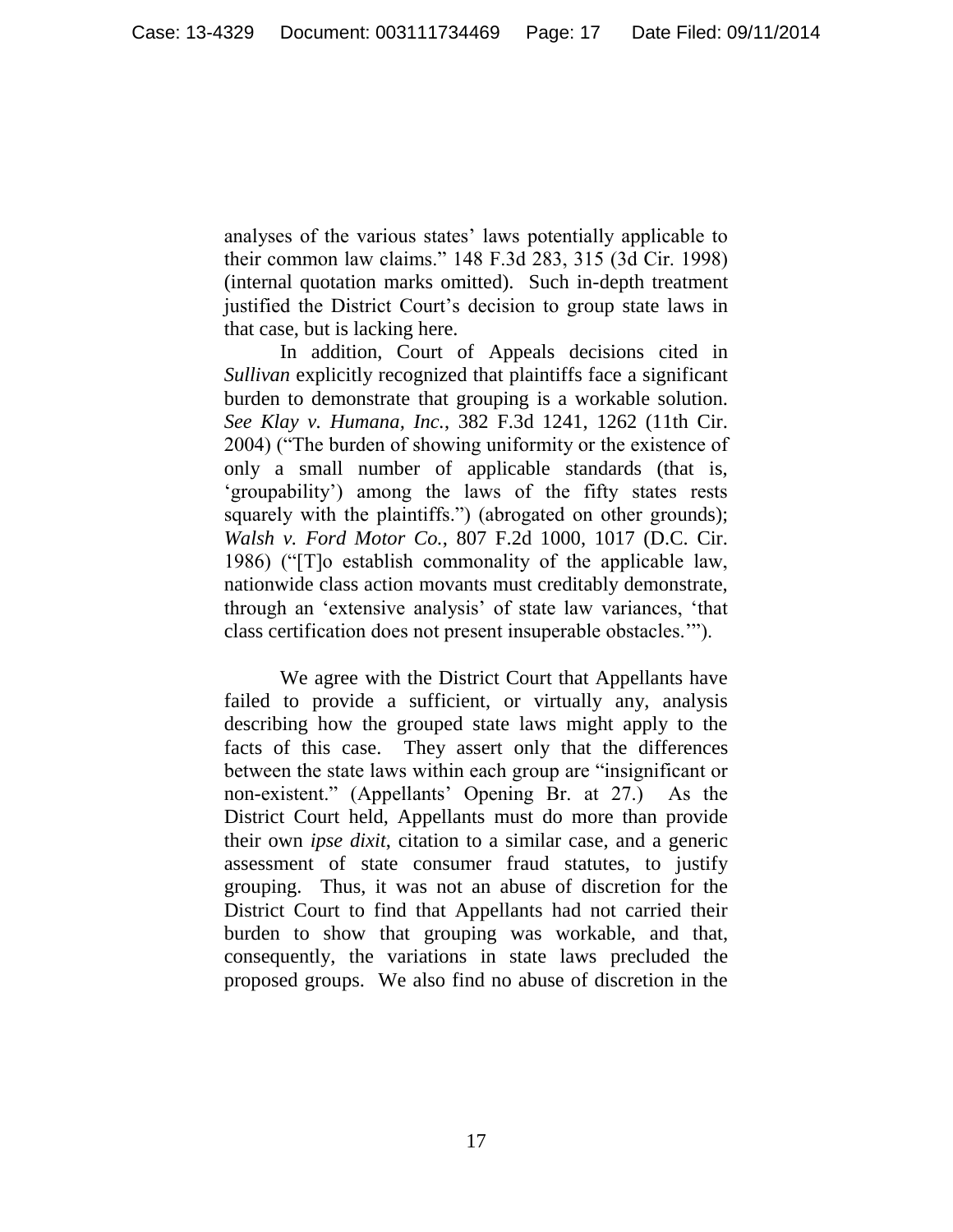analyses of the various states' laws potentially applicable to their common law claims." 148 F.3d 283, 315 (3d Cir. 1998) (internal quotation marks omitted). Such in-depth treatment justified the District Court's decision to group state laws in that case, but is lacking here.

In addition, Court of Appeals decisions cited in *Sullivan* explicitly recognized that plaintiffs face a significant burden to demonstrate that grouping is a workable solution. *See Klay v. Humana, Inc.*, 382 F.3d 1241, 1262 (11th Cir. 2004) ("The burden of showing uniformity or the existence of only a small number of applicable standards (that is, 'groupability') among the laws of the fifty states rests squarely with the plaintiffs.") (abrogated on other grounds); *Walsh v. Ford Motor Co.*, 807 F.2d 1000, 1017 (D.C. Cir. 1986) ("[T]o establish commonality of the applicable law, nationwide class action movants must creditably demonstrate, through an 'extensive analysis' of state law variances, 'that class certification does not present insuperable obstacles.'").

We agree with the District Court that Appellants have failed to provide a sufficient, or virtually any, analysis describing how the grouped state laws might apply to the facts of this case. They assert only that the differences between the state laws within each group are "insignificant or non-existent." (Appellants' Opening Br. at 27.) As the District Court held, Appellants must do more than provide their own *ipse dixit*, citation to a similar case, and a generic assessment of state consumer fraud statutes, to justify grouping. Thus, it was not an abuse of discretion for the District Court to find that Appellants had not carried their burden to show that grouping was workable, and that, consequently, the variations in state laws precluded the proposed groups. We also find no abuse of discretion in the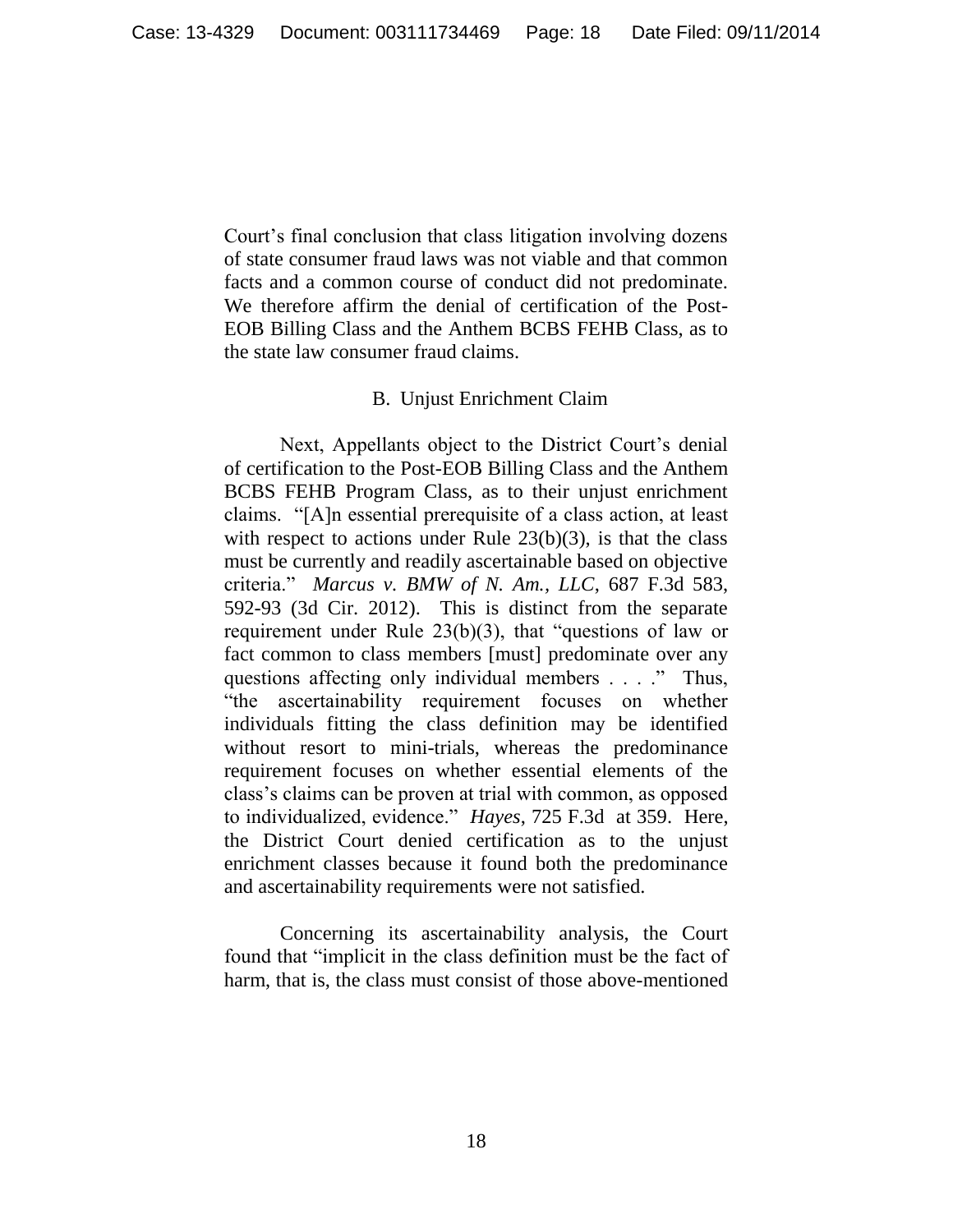Court's final conclusion that class litigation involving dozens of state consumer fraud laws was not viable and that common facts and a common course of conduct did not predominate. We therefore affirm the denial of certification of the Post-EOB Billing Class and the Anthem BCBS FEHB Class, as to the state law consumer fraud claims.

### B. Unjust Enrichment Claim

Next, Appellants object to the District Court's denial of certification to the Post-EOB Billing Class and the Anthem BCBS FEHB Program Class, as to their unjust enrichment claims. "[A]n essential prerequisite of a class action, at least with respect to actions under Rule  $23(b)(3)$ , is that the class must be currently and readily ascertainable based on objective criteria." *Marcus v. BMW of N. Am., LLC*, 687 F.3d 583, 592-93 (3d Cir. 2012). This is distinct from the separate requirement under Rule 23(b)(3), that "questions of law or fact common to class members [must] predominate over any questions affecting only individual members . . . ." Thus, "the ascertainability requirement focuses on whether individuals fitting the class definition may be identified without resort to mini-trials, whereas the predominance requirement focuses on whether essential elements of the class's claims can be proven at trial with common, as opposed to individualized, evidence." *Hayes*, 725 F.3d at 359.Here, the District Court denied certification as to the unjust enrichment classes because it found both the predominance and ascertainability requirements were not satisfied.

Concerning its ascertainability analysis, the Court found that "implicit in the class definition must be the fact of harm, that is, the class must consist of those above-mentioned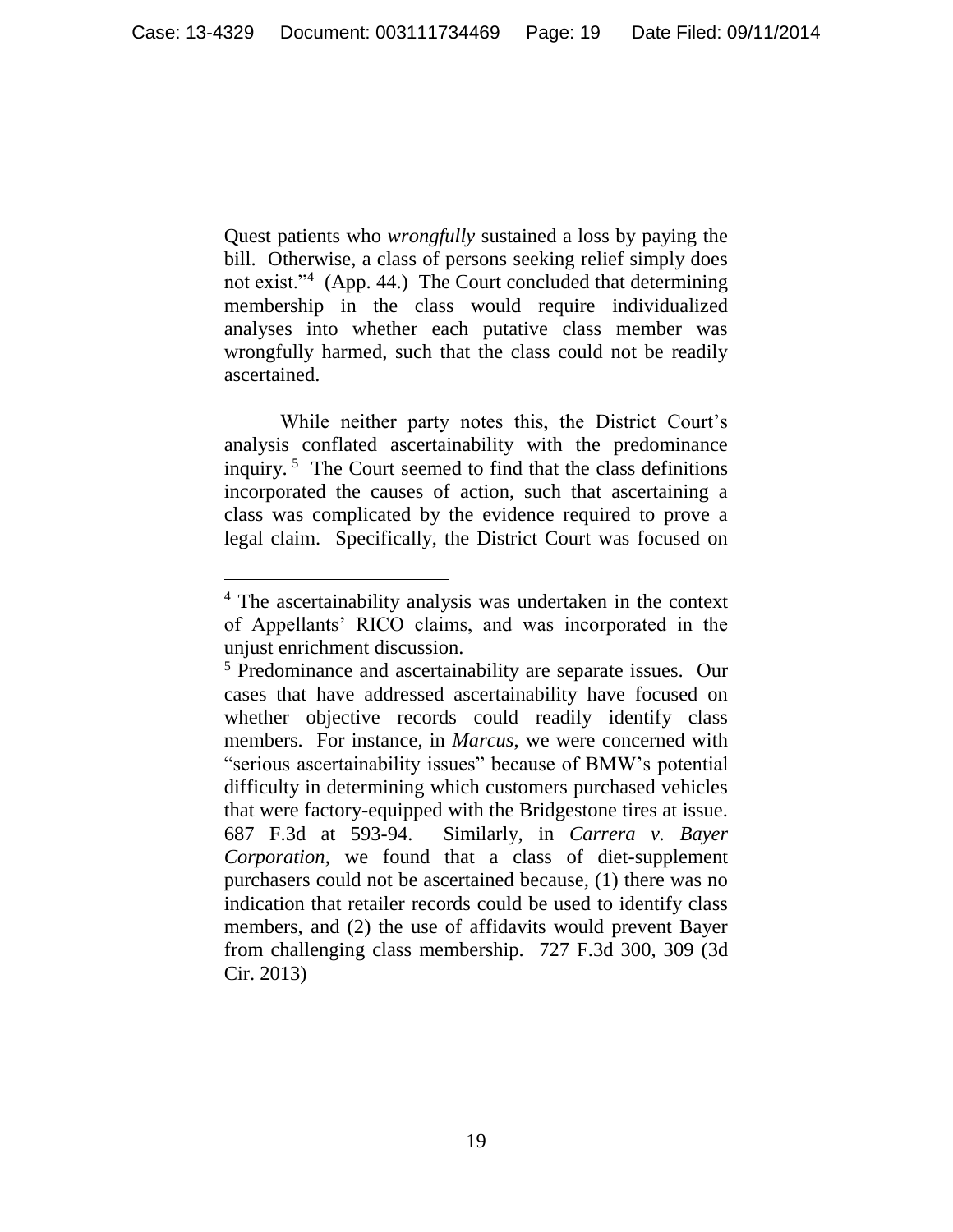Quest patients who *wrongfully* sustained a loss by paying the bill. Otherwise, a class of persons seeking relief simply does not exist."<sup>4</sup> (App. 44.) The Court concluded that determining membership in the class would require individualized analyses into whether each putative class member was wrongfully harmed, such that the class could not be readily ascertained.

While neither party notes this, the District Court's analysis conflated ascertainability with the predominance inquiry. <sup>5</sup> The Court seemed to find that the class definitions incorporated the causes of action, such that ascertaining a class was complicated by the evidence required to prove a legal claim. Specifically, the District Court was focused on

 $\overline{a}$ 

<sup>4</sup> The ascertainability analysis was undertaken in the context of Appellants' RICO claims, and was incorporated in the unjust enrichment discussion.

<sup>&</sup>lt;sup>5</sup> Predominance and ascertainability are separate issues. Our cases that have addressed ascertainability have focused on whether objective records could readily identify class members. For instance, in *Marcus*, we were concerned with "serious ascertainability issues" because of BMW's potential difficulty in determining which customers purchased vehicles that were factory-equipped with the Bridgestone tires at issue. 687 F.3d at 593-94. Similarly, in *Carrera v. Bayer Corporation*, we found that a class of diet-supplement purchasers could not be ascertained because, (1) there was no indication that retailer records could be used to identify class members, and (2) the use of affidavits would prevent Bayer from challenging class membership. 727 F.3d 300, 309 (3d Cir. 2013)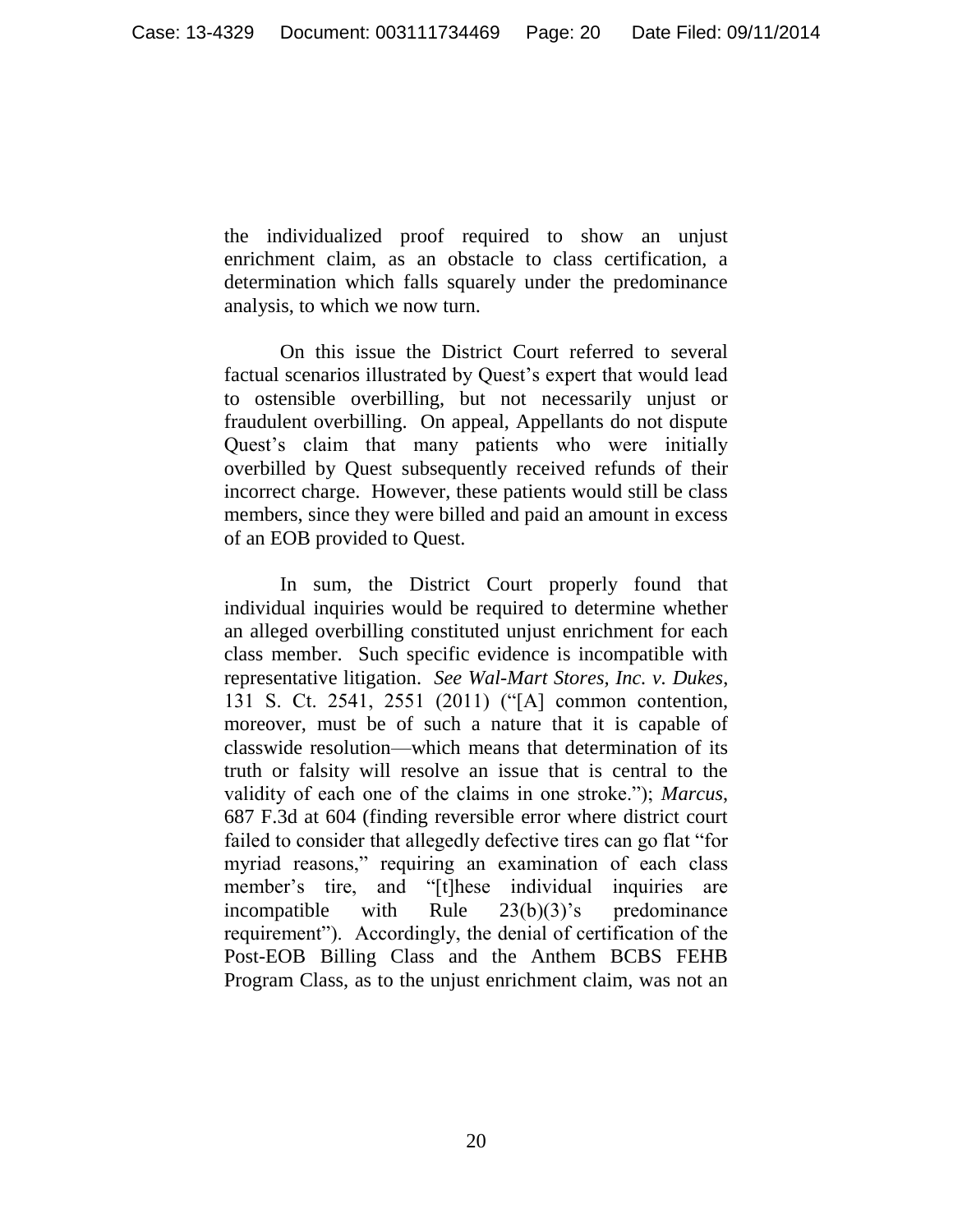the individualized proof required to show an unjust enrichment claim, as an obstacle to class certification, a determination which falls squarely under the predominance analysis, to which we now turn.

On this issue the District Court referred to several factual scenarios illustrated by Quest's expert that would lead to ostensible overbilling, but not necessarily unjust or fraudulent overbilling. On appeal, Appellants do not dispute Quest's claim that many patients who were initially overbilled by Quest subsequently received refunds of their incorrect charge. However, these patients would still be class members, since they were billed and paid an amount in excess of an EOB provided to Quest.

In sum, the District Court properly found that individual inquiries would be required to determine whether an alleged overbilling constituted unjust enrichment for each class member. Such specific evidence is incompatible with representative litigation. *See Wal-Mart Stores, Inc. v. Dukes*, 131 S. Ct. 2541, 2551 (2011) ("[A] common contention, moreover, must be of such a nature that it is capable of classwide resolution—which means that determination of its truth or falsity will resolve an issue that is central to the validity of each one of the claims in one stroke."); *Marcus*, 687 F.3d at 604 (finding reversible error where district court failed to consider that allegedly defective tires can go flat "for myriad reasons," requiring an examination of each class member's tire, and "[t]hese individual inquiries are incompatible with Rule 23(b)(3)'s predominance requirement"). Accordingly, the denial of certification of the Post-EOB Billing Class and the Anthem BCBS FEHB Program Class, as to the unjust enrichment claim, was not an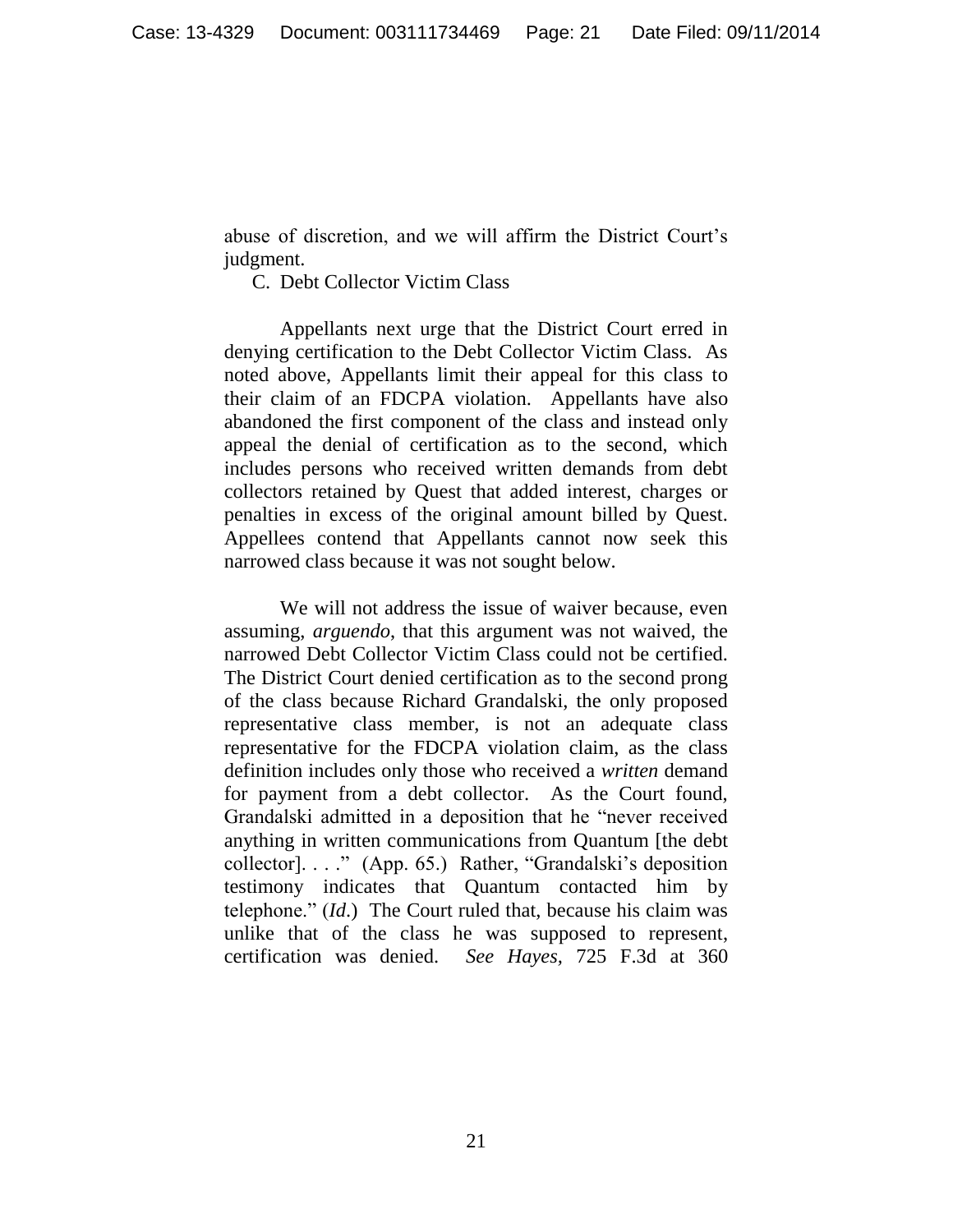abuse of discretion, and we will affirm the District Court's judgment.

C. Debt Collector Victim Class

Appellants next urge that the District Court erred in denying certification to the Debt Collector Victim Class. As noted above, Appellants limit their appeal for this class to their claim of an FDCPA violation. Appellants have also abandoned the first component of the class and instead only appeal the denial of certification as to the second, which includes persons who received written demands from debt collectors retained by Quest that added interest, charges or penalties in excess of the original amount billed by Quest. Appellees contend that Appellants cannot now seek this narrowed class because it was not sought below.

We will not address the issue of waiver because, even assuming, *arguendo*, that this argument was not waived, the narrowed Debt Collector Victim Class could not be certified. The District Court denied certification as to the second prong of the class because Richard Grandalski, the only proposed representative class member, is not an adequate class representative for the FDCPA violation claim, as the class definition includes only those who received a *written* demand for payment from a debt collector. As the Court found, Grandalski admitted in a deposition that he "never received anything in written communications from Quantum [the debt collector]. . . ." (App. 65.) Rather, "Grandalski's deposition testimony indicates that Quantum contacted him by telephone." (*Id*.) The Court ruled that, because his claim was unlike that of the class he was supposed to represent, certification was denied. *See Hayes,* 725 F.3d at 360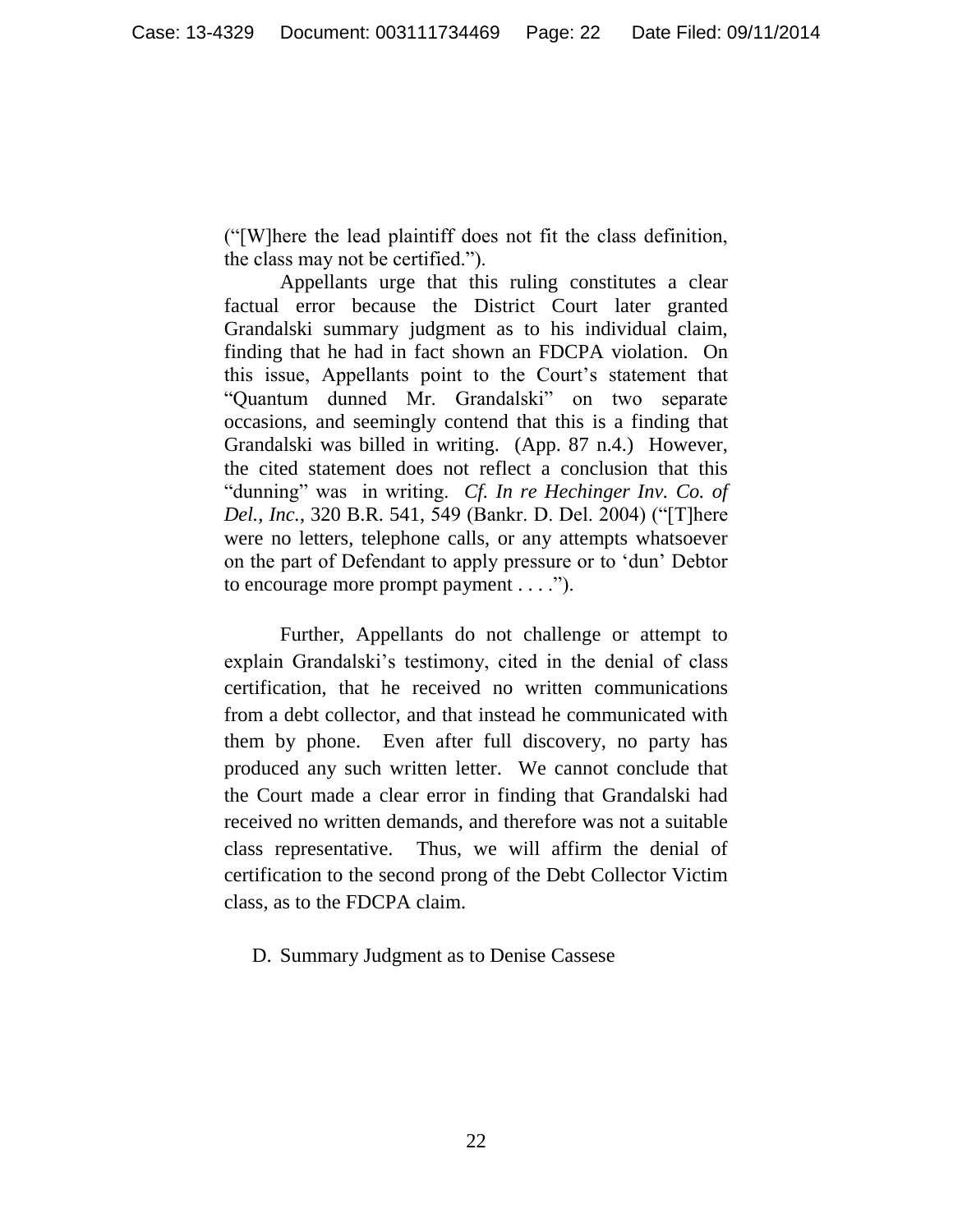("[W]here the lead plaintiff does not fit the class definition, the class may not be certified.").

Appellants urge that this ruling constitutes a clear factual error because the District Court later granted Grandalski summary judgment as to his individual claim, finding that he had in fact shown an FDCPA violation. On this issue, Appellants point to the Court's statement that "Quantum dunned Mr. Grandalski" on two separate occasions, and seemingly contend that this is a finding that Grandalski was billed in writing. (App. 87 n.4.) However, the cited statement does not reflect a conclusion that this "dunning" was in writing. *Cf. In re Hechinger Inv. Co. of Del., Inc.*, 320 B.R. 541, 549 (Bankr. D. Del. 2004) ("[T]here were no letters, telephone calls, or any attempts whatsoever on the part of Defendant to apply pressure or to 'dun' Debtor to encourage more prompt payment . . . .").

Further, Appellants do not challenge or attempt to explain Grandalski's testimony, cited in the denial of class certification, that he received no written communications from a debt collector, and that instead he communicated with them by phone. Even after full discovery, no party has produced any such written letter. We cannot conclude that the Court made a clear error in finding that Grandalski had received no written demands, and therefore was not a suitable class representative. Thus, we will affirm the denial of certification to the second prong of the Debt Collector Victim class, as to the FDCPA claim.

D. Summary Judgment as to Denise Cassese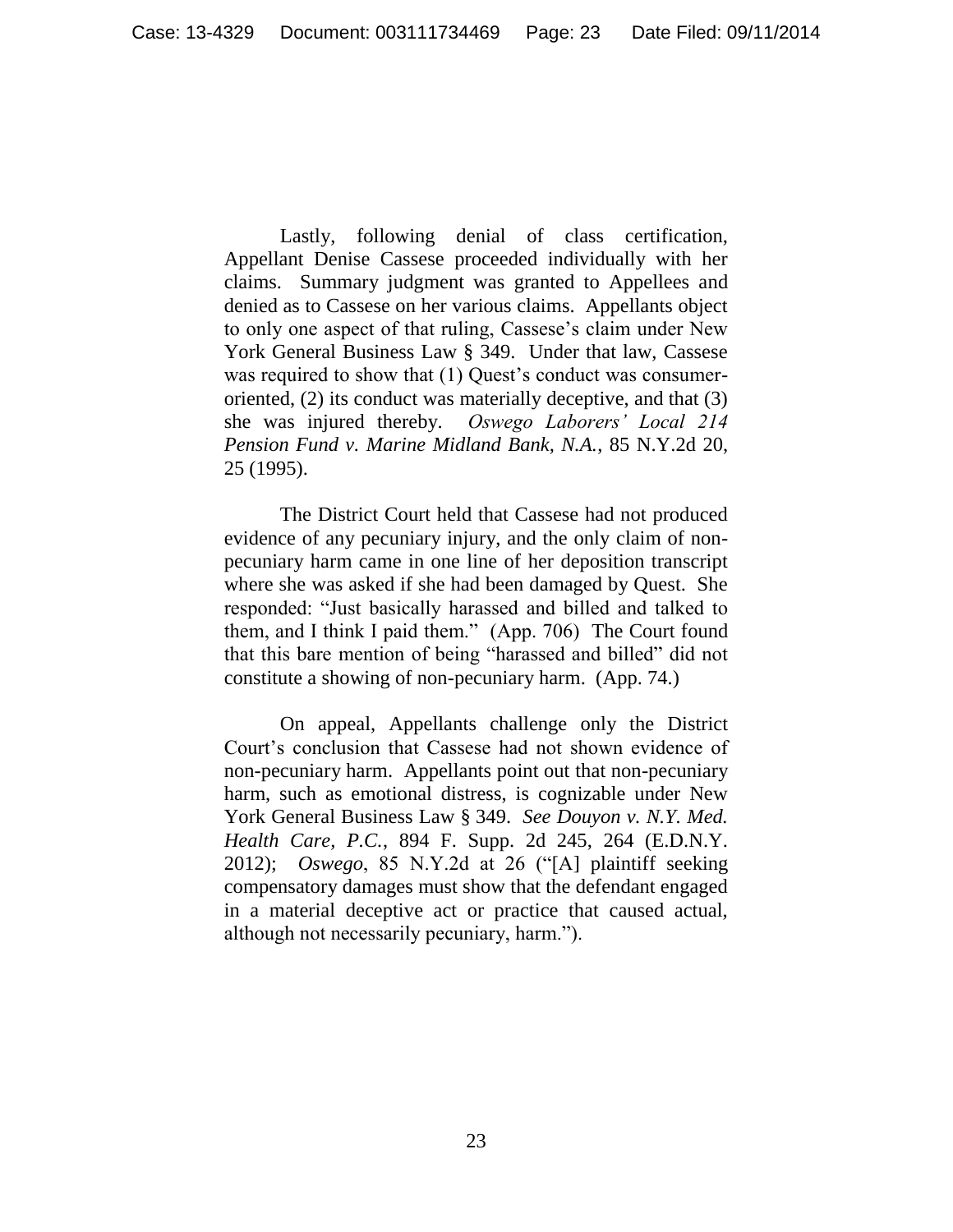Lastly, following denial of class certification, Appellant Denise Cassese proceeded individually with her claims. Summary judgment was granted to Appellees and denied as to Cassese on her various claims. Appellants object to only one aspect of that ruling, Cassese's claim under New York General Business Law § 349. Under that law, Cassese was required to show that (1) Quest's conduct was consumeroriented, (2) its conduct was materially deceptive, and that (3) she was injured thereby. *Oswego Laborers' Local 214 Pension Fund v. Marine Midland Bank, N.A.*, 85 N.Y.2d 20, 25 (1995).

The District Court held that Cassese had not produced evidence of any pecuniary injury, and the only claim of nonpecuniary harm came in one line of her deposition transcript where she was asked if she had been damaged by Quest. She responded: "Just basically harassed and billed and talked to them, and I think I paid them." (App. 706) The Court found that this bare mention of being "harassed and billed" did not constitute a showing of non-pecuniary harm. (App. 74.)

On appeal, Appellants challenge only the District Court's conclusion that Cassese had not shown evidence of non-pecuniary harm. Appellants point out that non-pecuniary harm, such as emotional distress, is cognizable under New York General Business Law § 349. *See Douyon v. N.Y. Med. Health Care, P.C.*, 894 F. Supp. 2d 245, 264 (E.D.N.Y. 2012); *Oswego*, 85 N.Y.2d at 26 ("[A] plaintiff seeking compensatory damages must show that the defendant engaged in a material deceptive act or practice that caused actual, although not necessarily pecuniary, harm.").